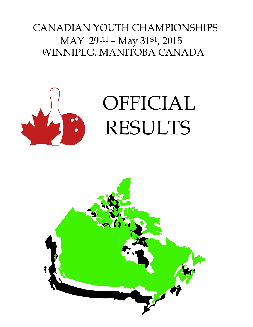## CANADIAN YOUTH CHAMPIONSHIPS MAY 29TH – May 31ST, 2015 WINNIPEG, MANITOBA CANADA



# OFFICIAL RESULTS

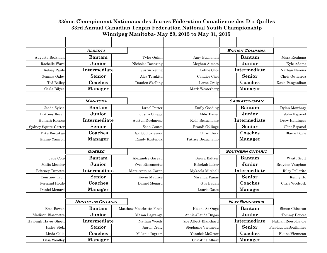| 33ème Championnat Nationaux des Jeunes Fédération Canadienne des Dix Quilles |                         |                          |                                                                    |                         |                        |  |  |  |  |  |
|------------------------------------------------------------------------------|-------------------------|--------------------------|--------------------------------------------------------------------|-------------------------|------------------------|--|--|--|--|--|
|                                                                              |                         |                          | 33rd Annual Canadian Tenpin Federation National Youth Championship |                         |                        |  |  |  |  |  |
|                                                                              |                         |                          | Winnipeg Manitoba-May 29, 2015 to May 31, 2015                     |                         |                        |  |  |  |  |  |
|                                                                              |                         |                          |                                                                    |                         |                        |  |  |  |  |  |
|                                                                              |                         |                          |                                                                    |                         |                        |  |  |  |  |  |
|                                                                              | <b>ALBERTA</b>          |                          |                                                                    | <b>BRITISH COLUMBIA</b> |                        |  |  |  |  |  |
| Augusta Bockman                                                              | <b>Bantam</b>           | Tyler Quinn              | Amy Buchanan                                                       | <b>Bantam</b>           | Mark Rouhana           |  |  |  |  |  |
| Rachelle Ward                                                                | Junior                  | Nicholas Doehring        | Meghan Aimoto                                                      | Junior                  | Kyle Adams             |  |  |  |  |  |
| Kelsey Pauls                                                                 | Intermediate            | Justin Yeung             | Celine Choi                                                        | Intermediate            | Nathan Nerona          |  |  |  |  |  |
| Gemma Oxley                                                                  | <b>Senior</b>           | Alex Terakita            | Candice Choi                                                       | Senior                  | Chris Gutierrez        |  |  |  |  |  |
| <b>Ted Bailey</b>                                                            | Coaches                 | Damien Skelling          | Lorne Craig                                                        | Coaches                 | Katie Panganiban       |  |  |  |  |  |
| Carla Bilyea                                                                 | <b>Manager</b>          |                          | Mark Westerberg                                                    | <b>Manager</b>          |                        |  |  |  |  |  |
|                                                                              |                         |                          |                                                                    |                         |                        |  |  |  |  |  |
|                                                                              | <b>MANITOBA</b>         |                          |                                                                    | <b>SASKATCHEWAN</b>     |                        |  |  |  |  |  |
| Jaeda Sylvia                                                                 | <b>Bantam</b>           | <b>Israel Potter</b>     | <b>Emily Gooding</b>                                               | <b>Bantam</b>           | Dylan Mowbray          |  |  |  |  |  |
| Brittney Rocan                                                               | Junior                  | Justin Omaga             | Abby Bauer                                                         | Junior                  | John Espanol           |  |  |  |  |  |
| Hannah Keenes                                                                | Intermediate            | Austyn Ducharme          | Kelsi Beauchamp                                                    | Intermediate            | Drew Heidinger         |  |  |  |  |  |
| Sydney Squire-Carter                                                         | Senior                  | Sean Coutts              | Brandi Collinge                                                    | Senior                  | Clint Espanol          |  |  |  |  |  |
| Mike Boroskae                                                                | Coaches                 | Earl Sobtokiewicz        | Chris Clerk                                                        | Coaches                 | <b>Blaine Boyle</b>    |  |  |  |  |  |
| Elaine Yamron                                                                | <b>Manager</b>          | Randy Kostenuk           | Patrice Beauchamp                                                  | <b>Manager</b>          |                        |  |  |  |  |  |
|                                                                              |                         |                          |                                                                    |                         |                        |  |  |  |  |  |
|                                                                              | <b>QUÉBEC</b>           |                          |                                                                    | <b>SOUTHERN ONTARIO</b> |                        |  |  |  |  |  |
| Jade Cote                                                                    | <b>Bantam</b>           | Alexandre Gareau         | Sierra Baltzer                                                     | <b>Bantam</b>           | Wyatt Scott            |  |  |  |  |  |
| Malia Messier                                                                | Junior                  | Yves Bissonnette         | Rebekah Loker                                                      | Junior                  | Brayden Vaughan        |  |  |  |  |  |
| <b>Brittney Turcotte</b>                                                     | Intermediate            | Marc-Antoine Caron       | Mykaela Mitchell                                                   | Intermediate            | Riley Pellerito        |  |  |  |  |  |
| Courtney Troli                                                               | Senior                  | Kevin Maurice            | Miranda Panas                                                      | Senior                  | Kenny Ho               |  |  |  |  |  |
| Fernand Houle                                                                | Coaches                 | Daniel Menard            | Gus Badali                                                         | Coaches                 | Chris Woolcock         |  |  |  |  |  |
| Daniel Menard                                                                | <b>Manager</b>          |                          | Laurie Gatto                                                       | <b>Manager</b>          |                        |  |  |  |  |  |
|                                                                              |                         |                          |                                                                    |                         |                        |  |  |  |  |  |
|                                                                              | <b>NORTHERN ONTARIO</b> |                          |                                                                    | <b>NEW BRUNSWICK</b>    |                        |  |  |  |  |  |
| Ema Bowen                                                                    | <b>Bantam</b>           | Matthew Massicotte-Finch | Helene St-Onge                                                     | <b>Bantam</b>           | Simon Chiasson         |  |  |  |  |  |
| Madison Bissonette                                                           | Junior                  | Mason Lagrange           | Annie-Claude Dugas                                                 | Junior                  | Tommy Doucet           |  |  |  |  |  |
| Hayleigh Hayes-Sheen                                                         | Intermediate            | Nathan Woods             | Zoe Albert-Blanchard                                               | Intermediate            | Nathan Ruest-Lajoie    |  |  |  |  |  |
| <b>Haley Stolz</b>                                                           | Senior                  | Aaron Craig              | Stephanie Vienneau                                                 | Senior                  | Pier-Luc LeBouthillier |  |  |  |  |  |
| Linda Cella                                                                  | Coaches                 | Melanie Ingram           | Yannick McGraw                                                     | Coaches                 | Elaine Vienneau        |  |  |  |  |  |
| Liisa Woolley                                                                | <b>Manager</b>          |                          | Christine Albert                                                   | <b>Manager</b>          |                        |  |  |  |  |  |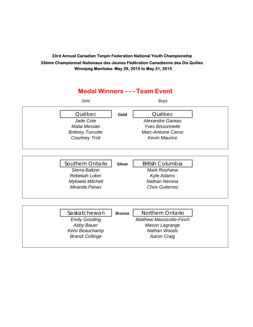### **Medal Winners - - - Team Event** Girls Boys Québec **Gold** Québec *Jade Cote Alexandre Gareau Malia Messier Yves Bissonnette Brittney Turcotte Marc-Antoine Caron Courtney Troli Kevin Maurice* Southern Ontario | silver | British Columbia *Sierra Baltzer Mark Rouhana Rebekah Loker Kyle Adams Mykaela Mitchell Nathan Nerona Miranda Panas Chris Gutierrez* Saskatchewan | **Bronze** | Northern Ontario *Emily Gooding Matthew Massicotte-Finch Abby Bauer Mason Lagrange Kelsi Beauchamp Nathan Woods Brandi Collinge Aaron Craig*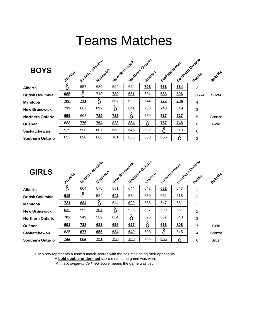## Teams Matches

| <b>BOYS</b>             | Alberta    |            | British Columbia<br>Manitoba | New Brunswick |     | Northern Ontario<br>Quebec | Seattletchewan |            | Southern Ontario<br>Points | Rotloffe      |
|-------------------------|------------|------------|------------------------------|---------------|-----|----------------------------|----------------|------------|----------------------------|---------------|
| Alberta                 |            | 657        | 680                          | 594           | 624 | <b>708</b>                 | 683            | 684        | 3                          |               |
| <b>British Columbia</b> | 685        |            | 710                          | <b>Z30</b>    | 681 | 604                        | 663            | 806        | 5.00654                    | <b>Silver</b> |
| Manitoba                | <u>788</u> | 711        |                              | 667           | 653 | 644                        | 772            | <b>794</b> | $\overline{4}$             |               |
| <b>New Brunswick</b>    | <b>739</b> | 667        | 699                          |               | 641 | 736                        | <b>740</b>     | 649        | 3                          |               |
| <b>Northern Ontario</b> | 655        | 608        | <u>729</u>                   | <b>723</b>    |     | 589                        | 717            | <u>727</u> | 5                          | <b>Bronze</b> |
| Québec                  | 688        | <b>ZZ6</b> | <b>Z64</b>                   | 828           | 834 | Č                          | 757            | <b>748</b> | $6\phantom{1}6$            | Gold          |
| Saskatchewan            | 539        | 598        | 607                          | 660           | 646 | 622                        |                | 619        | $\mathbf 0$                |               |
| Southern Ontario        | 653        | 698        | 660                          | <b>781</b>    | 668 | 663                        | 655            |            | $\overline{2}$             |               |

| <b>GIRLS</b>            | Alberta    |            | British Columbia<br>Manitoba | New Brunswick |            | Northern Ontario<br>Quebec | Saskatchewan |     | Southern Ontario<br>Points | Rotloffe      |
|-------------------------|------------|------------|------------------------------|---------------|------------|----------------------------|--------------|-----|----------------------------|---------------|
| Alberta                 |            | 604        | 570                          | 561           | 644        | 642                        | 682          | 647 | 1                          |               |
| <b>British Columbia</b> | 615        | Ω          | 584                          | 642           | 534        | 630                        | 652          | 618 | 2                          |               |
| Manitoba                | <b>721</b> | 684        |                              | 644           | 690        | 636                        | 647          | 651 | 3                          |               |
| <b>New Brunswick</b>    | 632        | 595        | <b>Z0Z</b>                   |               | 525        | 637                        | 599          | 661 | $\overline{2}$             |               |
| <b>Northern Ontario</b> | <b>702</b> | 549        | 589                          | 654           |            | 625                        | 562          | 548 | 3                          |               |
| Québec                  | 691        | <b>Z38</b> | 683                          | 655           | 627        | Č                          | 663          | 808 | $\overline{7}$             | Gold          |
| Saskatchewan            | 635        | 677        | 655                          | 634           | 640        | 603                        |              | 645 | $\overline{4}$             | <b>Bronze</b> |
| <b>Southern Ontario</b> | <u>744</u> | 684        | 751                          | <b>798</b>    | <b>769</b> | 766                        | 686          |     | 6                          | Silver        |

Each row represents a team's match scores with the columns being their opponents.

A **bold double-underlined** score means the game was won.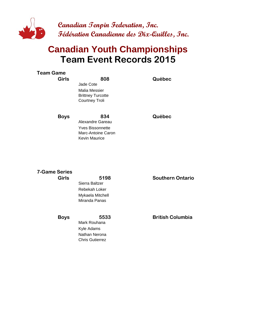

### **Team Event Records 2015 Canadian Youth Championships**

| <b>Team Game</b><br><b>Girls</b> | 808                                        | Québec |
|----------------------------------|--------------------------------------------|--------|
|                                  | Jade Cote                                  |        |
|                                  | Malia Messier<br><b>Brittney Turcotte</b>  |        |
|                                  | Courtney Troli                             |        |
| <b>Boys</b>                      | 834                                        | Québec |
|                                  | Alexandre Gareau                           |        |
|                                  | <b>Yves Bissonnette</b>                    |        |
|                                  | Marc-Antoine Caron<br><b>Kevin Maurice</b> |        |
|                                  |                                            |        |

| <b>7-Game Series</b> |                  |                         |
|----------------------|------------------|-------------------------|
| <b>Girls</b>         | 5198             | <b>Southern Ontario</b> |
|                      | Sierra Baltzer   |                         |
|                      | Rebekah Loker    |                         |
|                      | Mykaela Mitchell |                         |
|                      | Miranda Panas    |                         |
| <b>Boys</b>          | 5533             | <b>British Columbia</b> |
|                      | Mark Rouhana     |                         |
|                      | Kyle Adams       |                         |
|                      | Nathan Nerona    |                         |

Chris Gutierrez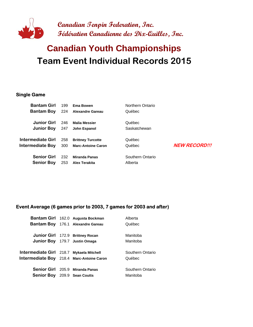

### **Team Event Individual Records 2015 Canadian Youth Championships**

#### **Single Game**

| <b>Bantam Girl</b>       | 199 | Ema Bowen                 | Northern Ontario |                      |
|--------------------------|-----|---------------------------|------------------|----------------------|
| <b>Bantam Boy</b>        | 224 | <b>Alexandre Gareau</b>   | Québec           |                      |
| Junior Girl              | 246 | <b>Malia Messier</b>      | Québec           |                      |
| <b>Junior Boy</b>        | 247 | John Espanol              | Saskatchewan     |                      |
| <b>Intermediate Girl</b> | 258 | <b>Brittney Turcotte</b>  | Québec           | <b>NEW RECORD!!!</b> |
| <b>Intermediate Boy</b>  | 300 | <b>Marc-Antoine Caron</b> | Québec           |                      |
| <b>Senior Girl</b>       | 232 | <b>Miranda Panas</b>      | Southern Ontario |                      |
| <b>Senior Boy</b>        | 253 | <b>Alex Terakita</b>      | Alberta          |                      |

#### **Event Average (6 games prior to 2003, 7 games for 2003 and after)**

|                                           | Bantam Girl 162.0 Augusta Bockman | Alberta          |
|-------------------------------------------|-----------------------------------|------------------|
|                                           | Bantam Boy 176.1 Alexandre Gareau | Québec           |
|                                           |                                   |                  |
|                                           | Junior Girl 172.9 Brittney Rocan  | Manitoba         |
|                                           | Junior Boy 179.7 Justin Omaga     | Manitoba         |
|                                           |                                   |                  |
| Intermediate Girl 218.7 Mykaela Mitchell  |                                   | Southern Ontario |
| Intermediate Boy 218.4 Marc-Antoine Caron |                                   | Québec           |
|                                           |                                   |                  |
|                                           | Senior Girl 205.9 Miranda Panas   | Southern Ontario |
| <b>Senior Boy</b> 209.9 Sean Coutts       |                                   | Manitoba         |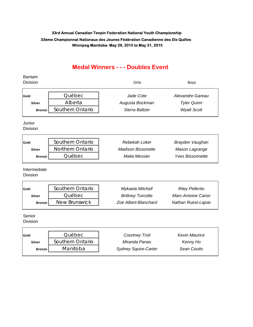#### **Medal Winners - - - Doubles Event**

### Bantam Division Girls Boys **Gold** Québec *Jade Cote Alexandre Gareau* **Silver** Alberta *Augusta Bockman Tyler Quinn* **Bronze** Southern Ontario **Contact Scott** Sierra Baltzer *Wyatt Scott* Junior **Division Gold** Southern Ontario *Rebekah Loker Brayden Vaughan* **Silver** Northern Ontario *Madison Bissonette Mason Lagrange* **Bronze** Québec *Malia Messier Yves Bissonnette* Intermediate **Division Gold** Southern Ontario *Mykaela Mitchell Riley Pellerito* **Silver** Québec *Brittney Turcotte Marc-Antoine Caron* **Bronze** New Brunswick *Zoe Albert-Blanchard Nathan Ruest-Lajoie* Senior Division

| Gold          | <b>Québec</b>    | Courtney Troli              | Kevin Maurice |
|---------------|------------------|-----------------------------|---------------|
| <b>Silver</b> | Southern Ontario | Miranda Panas               | Kenny Ho      |
| <b>Bronze</b> | Manitoba         | <b>Sydney Squire-Carter</b> | Sean Coutts   |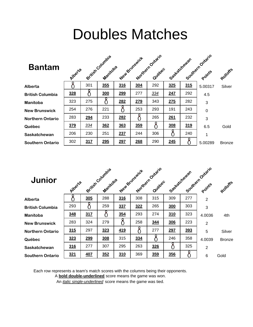## Doubles Matches

| <b>Bantam</b>           | Alberta |     | British Columbia<br>Manitoba |     | New Bringwick | Northern Ontario<br>Quebec | Socketatorewan |     | Southern Ontario<br>Points | Rolloffs      |
|-------------------------|---------|-----|------------------------------|-----|---------------|----------------------------|----------------|-----|----------------------------|---------------|
| <b>Alberta</b>          |         | 301 | 355                          | 316 | 304           | 292                        | 325            | 315 | 5.00317                    | Silver        |
| <b>British Columbia</b> | 328     |     | 300                          | 299 | 277           | 334                        | 247            | 292 | 4.5                        |               |
| <b>Manitoba</b>         | 323     | 275 |                              | 282 | 279           | 343                        | 275            | 282 | 3                          |               |
| <b>New Brunswick</b>    | 254     | 276 | 221                          |     | 253           | 293                        | 191            | 243 | $\mathbf 0$                |               |
| <b>Northern Ontario</b> | 283     | 294 | 233                          | 282 |               | 265                        | 261            | 232 | 3                          |               |
| Québec                  | 379     | 334 | 362                          | 363 | 359           |                            | 308            | 319 | 6.5                        | Gold          |
| Saskatchewan            | 206     | 230 | 251                          | 237 | 244           | 306                        |                | 240 | 1                          |               |
| <b>Southern Ontario</b> | 302     | 317 | 295                          | 297 | 268           | 290                        | 245            |     | 5.00289                    | <b>Bronze</b> |

| Junior                  | Alberta |     | British Columbia<br>Manitoba |     | New Brunswick | Morthern Ontario<br>Quebec | Saskatchewan |     | Southern Ontario<br>Points | Rolloffe      |
|-------------------------|---------|-----|------------------------------|-----|---------------|----------------------------|--------------|-----|----------------------------|---------------|
| Alberta                 |         | 305 | 288                          | 316 | 308           | 315                        | 309          | 277 | $\overline{2}$             |               |
| <b>British Columbia</b> | 293     |     | 259                          | 337 | 322           | 265                        | 300          | 303 | 3                          |               |
| <b>Manitoba</b>         | 348     | 317 |                              | 354 | 293           | 274                        | 310          | 323 | 4.0036                     | 4th           |
| <b>New Brunswick</b>    | 283     | 324 | 279                          |     | 258           | 344                        | 306          | 223 | $\overline{2}$             |               |
| <b>Northern Ontario</b> | 315     | 297 | 323                          | 419 | 8             | 277                        | 297          | 393 | 5                          | Silver        |
| Québec                  | 323     | 299 | 308                          | 315 | 334           | $\delta$                   | 246          | 358 | 4.0039                     | <b>Bronze</b> |
| <b>Saskatchewan</b>     | 316     | 277 | 307                          | 295 | 263           | 326                        |              | 325 | $\overline{2}$             |               |
| <b>Southern Ontario</b> | 321     | 407 | 352                          | 310 | 369           | 359                        | 356          |     | 6                          | Gold          |

Each row represents a team's match scores with the columns being their opponents.

A **bold double-underlined** score means the game was won.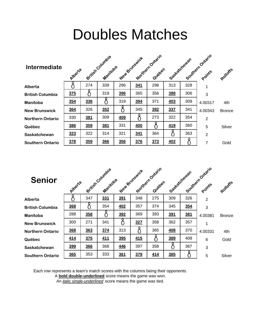## Doubles Matches

| <b>Intermediate</b>     | Alberta    |     | British Columbia<br>Manicoba |            | New Bringwick | Morthern Ontario<br>Quebec | Seattlet chewan |     | Southern Ontario<br>Points | Rolloffe      |
|-------------------------|------------|-----|------------------------------|------------|---------------|----------------------------|-----------------|-----|----------------------------|---------------|
| Alberta                 |            | 274 | 339                          | 296        | 341           | 298                        | 313             | 328 | 1                          |               |
| <b>British Columbia</b> | 375        |     | 319                          | 396        | 365           | 356                        | 388             | 306 | 3                          |               |
| Manitoba                | <u>354</u> | 336 |                              | 319        | 394           | 371                        | 403             | 309 | 4.00317                    | 4th           |
| <b>New Brunswick</b>    | 364        | 326 | 352                          |            | 345           | 392                        | 337             | 341 | 4.00343                    | <b>Bronze</b> |
| <b>Northern Ontario</b> | 330        | 381 | 309                          | <b>409</b> |               | 273                        | 322             | 354 | $\overline{2}$             |               |
| Québec                  | 386        | 359 | 381                          | 331        | <b>400</b>    |                            | 419             | 360 | 5                          | Silver        |
| Saskatchewan            | 323        | 322 | 314                          | 321        | 341           | 364                        |                 | 363 | $\overline{2}$             |               |
| <b>Southern Ontario</b> | 378        | 359 | 366                          | 356        | 376           | 373                        | 402             |     | 7                          | Gold          |

| <b>Senior</b>           | Alberta    |     | British Columbia<br>Manitoba |            | New Bringwick | Morthern Ontario<br>Quebec | Sastachewan |     | Southern Ontario<br>Points | Rolloffs      |
|-------------------------|------------|-----|------------------------------|------------|---------------|----------------------------|-------------|-----|----------------------------|---------------|
| Alberta                 |            | 347 | 331                          | 391        | 348           | 275                        | 309         | 326 | $\overline{2}$             |               |
| <b>British Columbia</b> | 368        |     | 354                          | <b>402</b> | 357           | 374                        | 345         | 354 | 3                          |               |
| Manitoba                | 288        | 358 |                              | 392        | 369           | 393                        | 391         | 381 | 4.00381                    | <b>Bronze</b> |
| <b>New Brunswick</b>    | 300        | 271 | 341                          |            | 327           | 358                        | 362         | 357 |                            |               |
| <b>Northern Ontario</b> | 368        | 363 | 374                          | 313        |               | 365                        | 408         | 370 | 4.00331                    | 4th           |
| Québec                  | 414        | 375 | <u>411</u>                   | 395        | 415           |                            | 389         | 408 | 6                          | Gold          |
| Saskatchewan            | 399        | 366 | 368                          | 446        | 397           | 358                        |             | 367 | 3                          |               |
| <b>Southern Ontario</b> | <b>365</b> | 353 | 333                          | 361        | 379           | 414                        | 385         |     | 5                          | Silver        |

Each row represents a team's match scores with the columns being their opponents.

A **bold double-underlined** score means the game was won.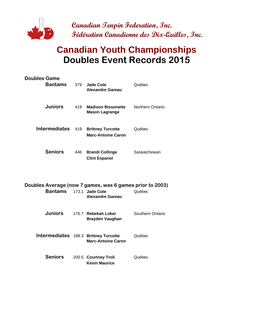

### **Canadian Youth Championships Doubles Event Records 2015**

| <b>Doubles Game</b><br><b>Bantams</b>                                      | 379 | <b>Jade Cote</b><br><b>Alexandre Gareau</b>                        | Québec                  |
|----------------------------------------------------------------------------|-----|--------------------------------------------------------------------|-------------------------|
| <b>Juniors</b>                                                             | 419 | <b>Madison Bissonette</b><br><b>Mason Lagrange</b>                 | <b>Northern Ontario</b> |
| <b>Intermediates</b>                                                       | 419 | <b>Brittney Turcotte</b><br><b>Marc-Antoine Caron</b>              | Québec                  |
| <b>Seniors</b>                                                             | 446 | <b>Brandi Collinge</b><br><b>Clint Espanol</b>                     | Saskatchewan            |
| Doubles Average (now 7 games, was 6 games prior to 2003)<br><b>Bantams</b> |     | 173.1 Jade Cote<br><b>Alexandre Gareau</b>                         | Québec                  |
| <b>Juniors</b>                                                             |     | 176.7 Rebekah Loker<br><b>Brayden Vaughan</b>                      | Southern Ontario        |
|                                                                            |     | Intermediates 188.3 Brittney Turcotte<br><b>Marc-Antoine Caron</b> | Québec                  |
| <b>Seniors</b>                                                             |     | 200.5 Courtney Troli                                               | Québec                  |

**Kevin Maurice**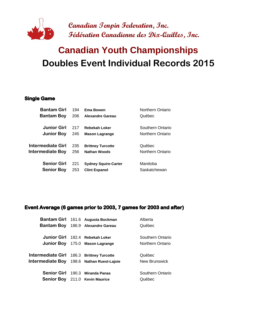

### **Doubles Event Individual Records 2015 Canadian Youth Championships**

#### **Single Game**

| <b>Bantam Girl</b> | 194 | <b>Ema Bowen</b>            | Northern Ontario |
|--------------------|-----|-----------------------------|------------------|
| <b>Bantam Boy</b>  | 206 | <b>Alexandre Gareau</b>     | Québec           |
|                    |     |                             |                  |
| <b>Junior Girl</b> | 217 | <b>Rebekah Loker</b>        | Southern Ontario |
| <b>Junior Boy</b>  | 245 | <b>Mason Lagrange</b>       | Northern Ontario |
|                    |     |                             |                  |
| Intermediate Girl  | 235 | <b>Brittney Turcotte</b>    | Québec           |
| Intermediate Boy   | 256 | <b>Nathan Woods</b>         | Northern Ontario |
|                    |     |                             |                  |
| <b>Senior Girl</b> | 221 | <b>Sydney Squire-Carter</b> | Manitoba         |
| <b>Senior Boy</b>  | 253 | <b>Clint Espanol</b>        | Saskatchewan     |
|                    |     |                             |                  |

#### **Event Average (6 games prior to 2003, 7 games for 2003 and after)**

|                                           |       | Bantam Girl 161.6 Augusta Bockman     | Alberta          |
|-------------------------------------------|-------|---------------------------------------|------------------|
| Bantam Boy                                |       | 186.9 Alexandre Gareau                | Québec           |
|                                           |       |                                       |                  |
|                                           |       | Junior Girl 182.4 Rebekah Loker       | Southern Ontario |
|                                           |       | Junior Boy 175.0 Mason Lagrange       | Northern Ontario |
|                                           |       |                                       |                  |
| Intermediate Girl 186.3 Brittney Turcotte |       |                                       | Québec           |
| Intermediate Boy                          |       | 198.6 Nathan Ruest-Lajoie             | New Brunswick    |
| <b>Senior Girl</b>                        | 190.3 | <b>Miranda Panas</b>                  | Southern Ontario |
|                                           |       | <b>Senior Boy</b> 211.0 Kevin Maurice | Québec           |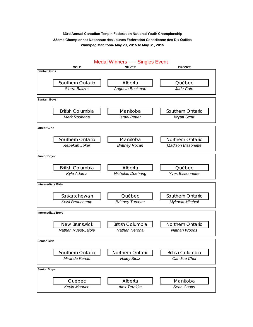GOLD SILVER SILVER BRONZE **Bantam Girls** Southern Ontario  $\|\cdot\|$  Alberta  $\|\cdot\|$  Québec *Sierra Baltzer Augusta Bockman Jade Cote* **Bantam Boys** British Columbia  $\|\cdot\|$  Manitoba  $\|\cdot\|$  Southern Ontario **Mark Rouhana Israel Potter** Wyatt Scott **Junior Girls** Southern Ontario  $\|\cdot\|$  Manitoba  $\|\cdot\|$  Northern Ontario *Rebekah Loker Brittney Rocan Madison Bissonette* **Junior Boys** British Columbia  $\|\cdot\|$  Alberta  $\|\cdot\|$  Québec *Kyle Adams Nicholas Doehring Yves Bissonnette* **Intermediate Girls** Saskatchewan | | Québec | Southern Ontario *Kelsi Beauchamp Brittney Turcotte Mykaela Mitchell* **Intermediate Boys** New Brunswick | | British Columbia | | Northern Ontario *Nathan Ruest-Lajoie Nathan Nerona Nathan Woods* **Senior Girls** Southern Ontario || Northern Ontario || British Columbia *Miranda Panas Haley Stolz Candice Choi* **Senior Boys** Québec  $\|\|$  Alberta  $\|\|$  Manitoba

*Kevin Maurice Alex Terakita Sean Coutts*

#### Medal Winners - - - Singles Event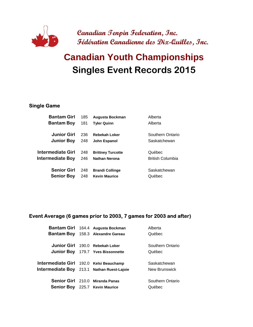

## **Singles Event Records 2015 Canadian Youth Championships**

#### **Single Game**

| <b>Bantam Girl</b>      | 185 | Augusta Bockman          | Alberta                 |
|-------------------------|-----|--------------------------|-------------------------|
| <b>Bantam Boy</b>       | 181 | <b>Tyler Quinn</b>       | Alberta                 |
| Junior Girl             | 236 | <b>Rebekah Loker</b>     | Southern Ontario        |
| <b>Junior Boy</b>       | 248 | John Espanol             | Saskatchewan            |
| Intermediate Girl       | 248 | <b>Brittney Turcotte</b> | Québec                  |
| <b>Intermediate Boy</b> | 246 | <b>Nathan Nerona</b>     | <b>British Columbia</b> |
| <b>Senior Girl</b>      | 248 | <b>Brandi Collinge</b>   | Saskatchewan            |
| <b>Senior Boy</b>       | 248 | <b>Kevin Maurice</b>     | Québec                  |
|                         |     |                          |                         |

#### **Event Average (6 games prior to 2003, 7 games for 2003 and after)**

|                                            | Bantam Girl 164.4 Augusta Bockman        | Alberta          |
|--------------------------------------------|------------------------------------------|------------------|
|                                            | <b>Bantam Boy</b> 158.3 Alexandre Gareau | Québec           |
|                                            |                                          |                  |
|                                            | Junior Girl 190.0 Rebekah Loker          | Southern Ontario |
|                                            | <b>Junior Boy</b> 179.7 Yves Bissonnette | Québec           |
|                                            |                                          |                  |
| Intermediate Girl 192.0 Kelsi Beauchamp    |                                          | Saskatchewan     |
| Intermediate Boy 213.1 Nathan Ruest-Lajoie |                                          | New Brunswick    |
|                                            |                                          |                  |
|                                            | Senior Girl 210.0 Miranda Panas          | Southern Ontario |
|                                            | Senior Boy 225.7 Kevin Maurice           | Québec           |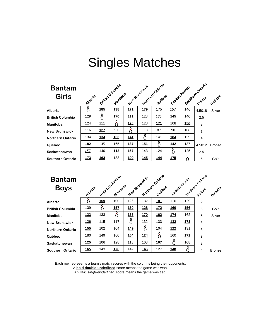### **Bantam**  Gi

| <b>Bantam</b><br><b>Girls</b> | Alperta |            | British Countil<br>Manicoba |            | New Brunswick | Northern Ontario<br>Quebec | Sastatchewan |            | Southern Ontario | Rohoffe       |
|-------------------------------|---------|------------|-----------------------------|------------|---------------|----------------------------|--------------|------------|------------------|---------------|
| Alberta                       |         | <u>185</u> | <u>138</u>                  | <u>171</u> | <u>179</u>    | 175                        | 157          | 146        | 4.5018           | Silver        |
| <b>British Columbia</b>       | 129     |            | <b>170</b>                  | 111        | 128           | 135                        | <b>145</b>   | 140        | 2.5              |               |
| Manitoba                      | 124     | 111        |                             | <u>128</u> | 128           | <u>171</u>                 | 108          | <u>156</u> | 3                |               |
| <b>New Brunswick</b>          | 116     | 127        | 97                          |            | 113           | 87                         | 90           | 108        | 1                |               |
| Northern Ontario              | 134     | 134        | 133                         | <b>141</b> |               | 141                        | <b>184</b>   | 129        | $\overline{4}$   |               |
| Québec                        | 182     | 135        | 165                         | 137        | 151           |                            | 142          | 137        | 4.5012           | <b>Bronze</b> |
| Saskatchewan                  | 157     | 140        | <u>112</u>                  | 167        | 143           | 124                        | 8            | 125        | 2.5              |               |
| Southern Ontario              | 173     | 163        | 133                         | 109        | 145           | 144                        | 175          |            | 6                | Gold          |

| IEW DI UIISWICK  |
|------------------|
| lorthern Ontario |
| luébec           |
| askatchewan      |
| outhern Ontario  |
|                  |

| <b>Bantam</b><br><b>Boys</b> | Alberta    |     | British Countil<br>Manicoba |            | New Brunswick | Northernontario<br>Quidoec | Sestatchewan | Southern Ontario |                | Rolloffe      |
|------------------------------|------------|-----|-----------------------------|------------|---------------|----------------------------|--------------|------------------|----------------|---------------|
| Alberta                      |            | 159 | 100                         | 126        | 132           | 181                        | 116          | 129              | $\overline{2}$ |               |
| <b>British Columbia</b>      | 139        |     | 15Z                         | <u>150</u> | <u>128</u>    | 172                        | <u>160</u>   | 156              | 6              | Gold          |
| Manitoba                     | 133        | 133 |                             | 155        | 170           | 162                        | 174          | 162              | 5              | Silver        |
| <b>New Brunswick</b>         | <u>136</u> | 115 | 117                         | O          | 132           | 133                        | <u>132</u>   | <u>173</u>       | 3              |               |
| Northern Ontario             | 155        | 102 | 104                         | 149        |               | 104                        | 122          | 131              | 3              |               |
| Québec                       | 180        | 149 | 160                         | <u>164</u> | <u>124</u>    | 8                          | 160          | <u>171</u>       | 3              |               |
| Saskatchewan                 | 125        | 106 | 128                         | 118        | 108           | 167                        | 8            | 108              | $\overline{2}$ |               |
| Southern Ontario             | 165        | 143 | <b>176</b>                  | 142        | 146           | 127                        | 148          | ዖ                | $\overline{4}$ | <b>Bronze</b> |
|                              |            |     |                             |            |               |                            |              |                  |                |               |

Each row represents a team's match scores with the columns being their opponents.

A **bold double-underlined** score means the game was won.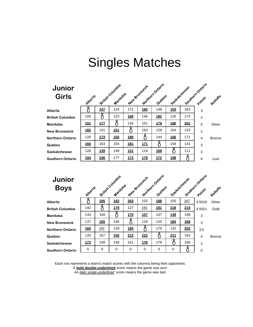### **Junior Gir**

| <b>Junior</b><br><b>Girls</b> | Alberta |            | British Countil<br>Manitoba |            | New Brunswick | Northernontario<br>Quebec | Seekatchewan | Southern Ontario |                | adloffs       |
|-------------------------------|---------|------------|-----------------------------|------------|---------------|---------------------------|--------------|------------------|----------------|---------------|
| Alberta                       |         | 147        | 124                         | 172        | <u>160</u>    | 148                       | 153          | 163              | 3              |               |
| <b>British Columbia</b>       | 105     | 8          | 123                         | <u>166</u> | 146           | <b>182</b>                | 126          | 174              | $\overline{2}$ |               |
| Manitoba                      | 151     | 177        |                             | 134        | 151           | <u>179</u>                | <b>180</b>   | 201              | 5              | Silver        |
| <b>New Brunswick</b>          | 182     | 131        | 161                         |            | 163           | 129                       | 104          | 153              | $\overline{2}$ |               |
| Northern Ontario              | 126     | 173        | 155                         | <b>180</b> | 8             | 144                       | <b>166</b>   | 171              | $\overline{4}$ | <b>Bronze</b> |
| Québec                        | 166     | 163        | 154                         | 181        | 171           | 8                         | 159          | 141              | 3              |               |
| Saskatchewan                  | 128     | <u>139</u> | 148                         | 131        | 114           | <u>168</u>                |              | 111              | 3              |               |
| Southern Ontario              | 194     | 236        | 177                         | 173        | 179           | 172                       | 199          |                  | 6              | Gold          |

| <b>Junior</b> |
|---------------|
| Bovs          |

| <b>Junior</b><br><b>Boys</b> | Alperte |     | British Country's<br>Manicoba |             | New Brunswick | Northern Ontario<br>Quebec | Soskatchewan |            | Southern Ontario | Rolloffe      |
|------------------------------|---------|-----|-------------------------------|-------------|---------------|----------------------------|--------------|------------|------------------|---------------|
| Alberta                      |         | 185 | 183                           | 203         | 152           | 188                        | 150          | 167        | 4.5018           | Silver        |
| <b>British Columbia</b>      | 142     | 8   | 178                           | 127         | 191           | <u>181</u>                 | 218          | 214        | 4.5021           | Gold          |
| Manitoba                     | 133     | 169 | δ                             | 170         | 157           | 147                        | 149          | 148        | 3                |               |
| <b>New Brunswick</b>         | 137     | 155 | 146                           |             | 129           | 120                        | <b>184</b>   | <u>169</u> | 3                |               |
| Northern Ontario             | 160     | 191 | 129                           | 180         |               | 179                        | 142          | 202        | 3.5              |               |
| Québec                       | 133     | 167 | <b>150</b>                    | 212         | 222           | $\delta$                   | 211          | 163        | 4                | <b>Bronze</b> |
| Saskatchewan                 | 173     | 149 | 148                           | 151         | 176           | 179                        | 8            | 166        | $\overline{2}$   |               |
| Southern Ontario             | 0       | 0   | 0                             | $\mathbf 0$ | 0             | 0                          | 0            |            | $\mathbf 0$      |               |

Each row represents a team's match scores with the columns being their opponents.

A **bold double-underlined** score means the game was won.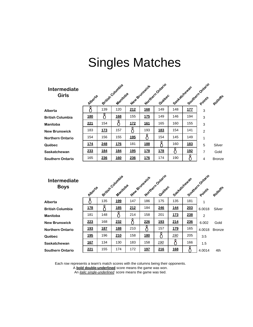| <b>Intermediate</b><br><b>Girls</b> | Alberta    |            | British Countil<br>Manitoba |            | New Brunswick | Northern Ontario<br>Quebec | Sostatchewan |            | Southern Points | Rohoffe       |
|-------------------------------------|------------|------------|-----------------------------|------------|---------------|----------------------------|--------------|------------|-----------------|---------------|
|                                     |            |            |                             |            |               |                            |              |            |                 |               |
| Alberta                             |            | 139        | 120                         | 212        | <u>168</u>    | 149                        | 148          | <u>177</u> | 3               |               |
| <b>British Columbia</b>             | <u>180</u> |            | 168                         | 155        | 175           | 149                        | 146          | 194        | 3               |               |
| Manitoba                            | 221        | 154        |                             | <b>172</b> | <u>161</u>    | 165                        | 160          | 155        | 3               |               |
| <b>New Brunswick</b>                | 183        | 173        | 157                         |            | 193           | 183                        | 154          | 141        | $\overline{2}$  |               |
| <b>Northern Ontario</b>             | 154        | 156        | 155                         | 195        |               | 154                        | 145          | 149        | 1               |               |
| Québec                              | 174        | 248        | 176                         | 181        | 188           |                            | 160          | 183        | 5               | Silver        |
| Saskatchewan                        | 233        | <u>184</u> | <u>184</u>                  | <u>195</u> | <u>178</u>    | <u>178</u>                 | Ω            | <u>192</u> | 7               | Gold          |
| <b>Southern Ontario</b>             | 165        | 236        | 160                         | 236        | 176           | 174                        | 190          |            | 4               | <b>Bronze</b> |

| <b>Intermediate</b><br><b>Boys</b> |            |            | exitist Country's |     | New Brunswick | Northernontario | Seekatchewan |     | Southern Ontario |               |
|------------------------------------|------------|------------|-------------------|-----|---------------|-----------------|--------------|-----|------------------|---------------|
|                                    | Alberte    |            | Manicoba          |     |               | Quebec          |              |     |                  | Rohoffe       |
| Alberta                            |            | 135        | 199               | 147 | 186           | 175             | 135          | 181 | 1                |               |
| <b>British Columbia</b>            | <u>178</u> |            | <u>185</u>        | 212 | 184           | 246             | <u>144</u>   | 203 | 6.0018           | Silver        |
| Manitoba                           | 181        | 148        |                   | 214 | 158           | 201             | 173          | 238 | $\overline{2}$   |               |
| <b>New Brunswick</b>               | 223        | 168        | 232               |     | 226           | <u>193</u>      | 214          | 236 | 6.002            | Gold          |
| <b>Northern Ontario</b>            | 193        | <b>187</b> | 188               | 210 |               | 157             | 179          | 165 | 4.0018           | <b>Bronze</b> |
| Québec                             | <u>195</u> | 196        | 210               | 158 | <b>180</b>    | 8               | <u>190</u>   | 205 | 3.5              |               |
| Saskatchewan                       | 167        | 134        | 130               | 183 | 158           | <u>190</u>      | 8            | 166 | 1.5              |               |
| Southern Ontario                   | 221        | 155        | 174               | 172 | <u>197</u>    | 216             | <b>168</b>   |     | 4.0014           | 4th           |
|                                    |            |            |                   |     |               |                 |              |     |                  |               |

Each row represents a team's match scores with the columns being their opponents.

A **bold double-underlined** score means the game was won.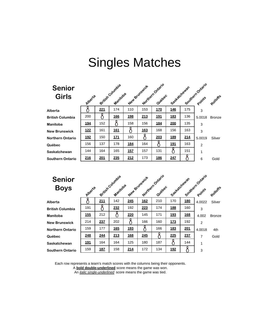### **Senior**  Gi<sub>l</sub>

| <b>Senior</b><br><b>Girls</b> | Alperta    |     | exitist Country's<br>Manicoba |            | New Brunswick | Northernontario<br>Quebec | Saskatchewan |     | Southern Ontario | Rohoffs       |
|-------------------------------|------------|-----|-------------------------------|------------|---------------|---------------------------|--------------|-----|------------------|---------------|
| Alberta                       |            | 221 | 174                           | 110        | 153           | <b>170</b>                | 146          | 175 | 3                |               |
| <b>British Columbia</b>       | 200        | 8   | <b>166</b>                    | <b>198</b> | 213           | <u>191</u>                | 183          | 136 | 5.0018           | <b>Bronze</b> |
| Manitoba                      | <u>194</u> | 152 | 8                             | 158        | 156           | <u>184</u>                | <b>200</b>   | 135 | 3                |               |
| <b>New Brunswick</b>          | 122        | 161 | 161                           |            | 163           | 168                       | 156          | 163 | 3                |               |
| Northern Ontario              | <u>192</u> | 150 | <b>171</b>                    | 160        |               | 203                       | <u>189</u>   | 214 | 5.0019           | Silver        |
| Québec                        | 156        | 137 | 178                           | 184        | 164           |                           | 191          | 163 | $\overline{2}$   |               |
| Saskatchewan                  | 144        | 164 | 165                           | 157        | 157           | 131                       | 8            | 151 | 1                |               |
| Southern Ontario              | 216        | 201 | 235                           | 212        | 173           | 186                       | 247          |     | 6                | Gold          |

| <b>Senior</b> |  |
|---------------|--|
| Bovs          |  |

| <b>Senior</b><br><b>Boys</b> | Alperte |            | exitist Country's<br>Manicoba |            | New Brunswick | Meridenoniano<br>Quichec | Soskatchewan |            | Southern Ontario | Rolloffs      |
|------------------------------|---------|------------|-------------------------------|------------|---------------|--------------------------|--------------|------------|------------------|---------------|
| Alberta                      |         | 211        | 142                           | 245        | 162           | 210                      | 170          | <b>180</b> | 4.0022           | Silver        |
| <b>British Columbia</b>      | 191     | 8          | 232                           | 192        | 223           | 174                      | <b>188</b>   | 160        | 3                |               |
| <b>Manitoba</b>              | 155     | 212        | Ω                             | 220        | 145           | 171                      | 193          | 168        | 4.002            | <b>Bronze</b> |
| <b>New Brunswick</b>         | 214     | 237        | 202                           | 8          | 166           | 160                      | <u>173</u>   | 192        | 2                |               |
| <b>Northern Ontario</b>      | 159     | 177        | 165                           | 193        |               | 166                      | 183          | 201        | 4.0018           | 4th           |
| Québec                       | 248     | 244        | 213                           | <b>168</b> | 245           |                          | 225          | 237        | 7                | Gold          |
| Saskatchewan                 | 191     | 164        | 164                           | 125        | 180           | 187                      |              | 144        | 1                |               |
| <b>Southern Ontario</b>      | 159     | <u>187</u> | 158                           | 214        | 172           | 134                      | <u>192</u>   |            | 3                |               |

Each row represents a team's match scores with the columns being their opponents.

A **bold double-underlined** score means the game was won.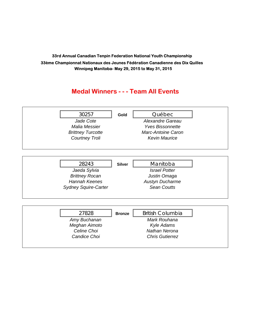#### **Medal Winners - - - Team All Events**

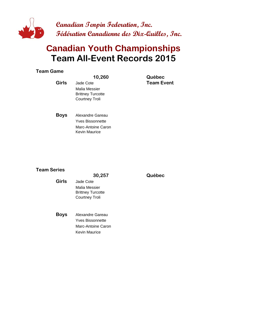

Marc-Antoine Caron Kevin Maurice

### **Team All-Event Records 2015 Canadian Youth Championships**

#### **Team Game**

| <b>Girls</b> | 10,260<br>Jade Cote<br>Malia Messier<br><b>Brittney Turcotte</b><br><b>Courtney Troli</b> | Québec<br><b>Team Event</b> |
|--------------|-------------------------------------------------------------------------------------------|-----------------------------|
| <b>Boys</b>  | Alexandre Gareau<br><b>Yves Bissonnette</b>                                               |                             |

#### **Team Series**

|              | 30,257                   | Québec |
|--------------|--------------------------|--------|
| <b>Girls</b> | Jade Cote                |        |
|              | Malia Messier            |        |
|              | <b>Brittney Turcotte</b> |        |
|              | <b>Courtney Troli</b>    |        |
|              |                          |        |
| Boys         | Alexandre Gareau         |        |
|              | <b>Yves Bissonnette</b>  |        |
|              | Marc-Antoine Caron       |        |
|              | Kevin Maurice            |        |
|              |                          |        |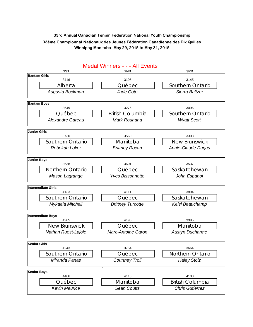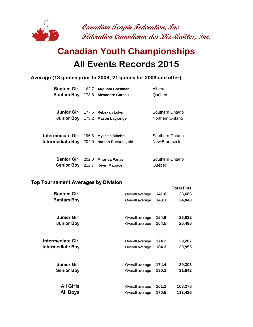

### **All Events Records 2015 Canadian Youth Championships**

#### **Average (18 games prior to 2003, 21 games for 2003 and after)**

|                               |       | Bantam Girl 162.7 Augusta Bockman     | Alberta          |
|-------------------------------|-------|---------------------------------------|------------------|
| Bantam Boy                    |       | 173.8 Alexandre Gareau                | Québec           |
|                               |       |                                       |                  |
|                               |       | Junior Girl 177.6 Rebekah Loker       | Southern Ontario |
|                               |       | Junior Boy 173.2 Mason Lagrange       | Northern Ontario |
|                               |       |                                       |                  |
| Intermediate Girl             | 196.8 | <b>Mykaela Mitchell</b>               | Southern Ontario |
| <b>Intermediate Boy</b> 204.0 |       | <b>Nathan Ruest-Lajoie</b>            | New Brunswick    |
|                               |       |                                       |                  |
| <b>Senior Girl</b> 202.0      |       | <b>Miranda Panas</b>                  | Southern Ontario |
|                               |       | <b>Senior Boy</b> 212.7 Kevin Maurice | Québec           |

#### **Top Tournament Averages by Division**

|                    |                 |       | TOLAI PINS |
|--------------------|-----------------|-------|------------|
| <b>Bantam Girl</b> | Overall average | 141.0 | 23,686     |
| <b>Bantam Boy</b>  | Overall average | 143.1 | 24,043     |
|                    |                 |       |            |
| <b>Junior Girl</b> | Overall average | 154.9 | 26,022     |
| <b>Junior Boy</b>  | Overall average | 164.5 | 26,486     |
|                    |                 |       |            |
| Intermediate Girl  | Overall average | 174.2 | 29,267     |
| Intermediate Boy   | Overall average | 184.3 | 30,955     |
|                    |                 |       |            |
| <b>Senior Girl</b> | Overall average | 174.4 | 29,303     |
|                    |                 |       |            |
| <b>Senior Boy</b>  | Overall average | 190.1 | 31,942     |
|                    |                 |       |            |
| <b>All Girls</b>   | Overall average | 161.1 | 108,278    |
| <b>All Boys</b>    | Overall average | 170.5 | 113,426    |

**Total Pins**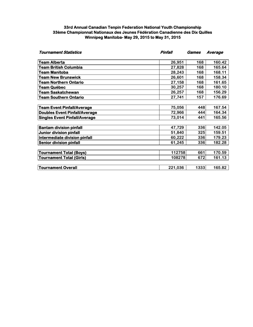| <b>Tournament Statistics</b>         | Pinfall | Games | Average |
|--------------------------------------|---------|-------|---------|
| <b>Team Alberta</b>                  | 26,951  | 168   | 160.42  |
| <b>Team British Columbia</b>         | 27,828  | 168   | 165.64  |
| Team Manitoba                        | 28,243  | 168   | 168.11  |
| Team New Brunswick                   | 26,601  | 168   | 158.34  |
| <b>Team Northern Ontario</b>         | 27,158  | 168   | 161.65  |
| Team Québec                          | 30,257  | 168   | 180.10  |
| Team Saskatchewan                    | 26,257  | 168   | 156.29  |
| <b>Team Southern Ontario</b>         | 27,741  | 157   | 176.69  |
| <b>Team Event Pinfall/Average</b>    | 75,056  | 448   | 167.54  |
| <b>Doubles Event Pinfall/Average</b> | 72,966  | 444   | 164.34  |
| <b>Singles Event Pinfall/Average</b> | 73,014  | 441   | 165.56  |
| <b>Bantam division pinfall</b>       | 47,729  | 336   | 142.05  |
| <b>Junior division pinfall</b>       | 51,840  | 325   | 159.51  |
| Intermediate division pinfall        | 60,222  | 336   | 179.23  |
| <b>Senior division pinfall</b>       | 61,245  | 336   | 182.28  |
| <b>Tournament Total (Boys)</b>       | 112758  | 661   | 170.59  |
| <b>Tournament Total (Girls)</b>      | 108278  | 672   | 161.13  |
| <b>Tournament Overall</b>            | 221,036 | 1333  | 165.82  |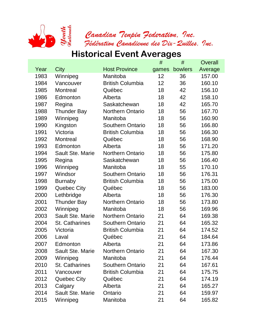

### **Historical Event Averages**

|      |                         |                         | #     | #       | Overall |
|------|-------------------------|-------------------------|-------|---------|---------|
| Year | City                    | <b>Host Province</b>    | games | bowlers | Average |
| 1983 | Winnipeg                | Manitoba                | 12    | 36      | 157.00  |
| 1984 | Vancouver               | <b>British Columbia</b> | 12    | 36      | 160.10  |
| 1985 | <b>Montreal</b>         | Québec                  | 18    | 42      | 156.10  |
| 1986 | Edmonton                | Alberta                 | 18    | 42      | 158.10  |
| 1987 | Regina                  | Saskatchewan            | 18    | 42      | 165.70  |
| 1988 | <b>Thunder Bay</b>      | <b>Northern Ontario</b> | 18    | 56      | 167.70  |
| 1989 | Winnipeg                | Manitoba                | 18    | 56      | 160.90  |
| 1990 | Kingston                | <b>Southern Ontario</b> | 18    | 56      | 166.80  |
| 1991 | Victoria                | <b>British Columbia</b> | 18    | 56      | 166.30  |
| 1992 | <b>Montreal</b>         | Québec                  | 18    | 56      | 168.90  |
| 1993 | Edmonton                | Alberta                 | 18    | 56      | 171.20  |
| 1994 | Sault Ste. Marie        | Northern Ontario        | 18    | 56      | 175.80  |
| 1995 | Regina                  | Saskatchewan            | 18    | 56      | 166.40  |
| 1996 | Winnipeg                | Manitoba                | 18    | 55      | 170.10  |
| 1997 | Windsor                 | <b>Southern Ontario</b> | 18    | 56      | 176.31  |
| 1998 | <b>Burnaby</b>          | <b>British Columbia</b> | 18    | 56      | 175.00  |
| 1999 | <b>Quebec City</b>      | Québec                  | 18    | 56      | 183.00  |
| 2000 | Lethbridge              | Alberta                 | 18    | 56      | 176.30  |
| 2001 | <b>Thunder Bay</b>      | <b>Northern Ontario</b> | 18    | 56      | 173.80  |
| 2002 | Winnipeg                | Manitoba                | 18    | 56      | 169.96  |
| 2003 | <b>Sault Ste. Marie</b> | <b>Northern Ontario</b> | 21    | 64      | 169.38  |
| 2004 | St. Catharines          | <b>Southern Ontario</b> | 21    | 64      | 165.32  |
| 2005 | Victoria                | <b>British Columbia</b> | 21    | 64      | 174.52  |
| 2006 | Laval                   | Québec                  | 21    | 64      | 184.64  |
| 2007 | Edmonton                | Alberta                 | 21    | 64      | 173.86  |
| 2008 | <b>Sault Ste. Marie</b> | <b>Northern Ontario</b> | 21    | 64      | 167.30  |
| 2009 | Winnipeg                | Manitoba                | 21    | 64      | 176.44  |
| 2010 | St. Catharines          | Southern Ontario        | 21    | 64      | 167.61  |
| 2011 | Vancouver               | <b>British Columbia</b> | 21    | 64      | 175.75  |
| 2012 | Quebec City             | Québec                  | 21    | 64      | 174.19  |
| 2013 | Calgary                 | Alberta                 | 21    | 64      | 165.27  |
| 2014 | Sault Ste. Marie        | Ontario                 | 21    | 64      | 159.97  |
| 2015 | Winnipeg                | Manitoba                | 21    | 64      | 165.82  |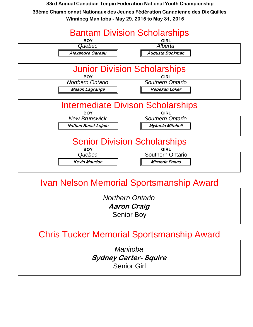

### Ivan Nelson Memorial Sportsmanship Award

*Northern Ontario* **Aaron Craig** Senior Boy

### Chris Tucker Memorial Sportsmanship Award

*Manitoba* **Sydney Carter- Squire** Senior Girl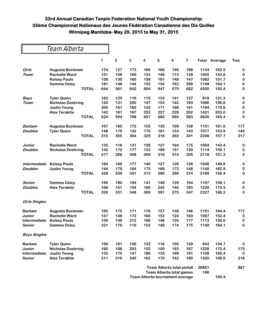### Team Alberta

|                      |                          |              | 1   | $\overline{2}$ | 3   | 4   | 5   | 6   | $\overline{7}$ |      | <b>Total Average</b> | <b>Ties</b> |
|----------------------|--------------------------|--------------|-----|----------------|-----|-----|-----|-----|----------------|------|----------------------|-------------|
| Girls                | Augusta Bockman          |              | 174 | 127            | 173 | 160 | 166 | 146 | 188            | 1134 | 162.0                | 0           |
| <b>Team</b>          | <b>Rachelle Ward</b>     |              | 151 | 158            | 165 | 133 | 146 | 113 | 139            | 1005 | 143.6                | $\bf{0}$    |
|                      | <b>Kelsey Pauls</b>      |              | 138 | 130            | 160 | 158 | 181 | 148 | 147            | 1062 | 151.7                | $\pmb{0}$   |
|                      | <b>Gemma Oxley</b>       |              | 181 | 146            | 144 | 153 | 154 | 163 | 208            | 1149 | 164.1                | $\pmb{0}$   |
|                      |                          | <b>TOTAL</b> | 644 | 561            | 642 | 604 | 647 | 570 | 682            | 4350 | 155.4                | $\bf{0}$    |
| <b>Boys</b>          | <b>Tyler Quinn</b>       |              | 162 | 125            | 116 | 115 | 133 | 141 | 127            | 919  | 131.3                | $\bf{0}$    |
| Team                 | <b>Nicholas Doehring</b> |              | 120 | 121            | 220 | 147 | 153 | 142 | 193            | 1096 | 156.6                | $\bf{0}$    |
|                      | <b>Justin Yeung</b>      |              | 200 | 167            | 185 | 142 | 171 | 168 | 161            | 1194 | 170.6                | $\pmb{0}$   |
|                      | <b>Alex Terakita</b>     |              | 142 | 181            | 187 | 253 | 227 | 229 | 202            | 1421 | 203.0                | $\bf{0}$    |
|                      |                          | <b>TOTAL</b> | 624 | 594            | 708 | 657 | 684 | 680 | 683            | 4630 | 165.4                | $\bf{0}$    |
| <b>Bantam</b>        | Augusta Bockman          |              | 167 | 185            | 172 | 155 | 135 | 159 | 158            | 1131 | 161.6                | 177         |
| <b>Doubles</b>       | <b>Tyler Quinn</b>       |              | 148 | 170            | 132 | 170 | 181 | 133 | 143            | 1077 | 153.9                | 140         |
|                      |                          | <b>TOTAL</b> | 315 | 355            | 304 | 325 | 316 | 292 | 301            | 2208 | 157.7                | 317         |
| Junior               | <b>Rachelle Ward</b>     |              | 135 | 116            | 131 | 156 | 127 | 164 | 175            | 1004 | 143.4                | $\pmb{0}$   |
| <b>Doubles</b>       | <b>Nicholas Doehring</b> |              | 142 | 172            | 177 | 153 | 189 | 151 | 130            | 1114 | 159.1                | $\bf{0}$    |
|                      |                          | <b>TOTAL</b> | 277 | 288            | 308 | 309 | 316 | 315 | 305            | 2118 | 151.3                | $\pmb{0}$   |
| Intermediate         | <b>Kelsey Pauls</b>      |              | 184 | 169            | 177 | 140 | 127 | 126 | 126            | 1049 | 149.9                | $\bf{0}$    |
| <b>Doubles</b>       | <b>Justin Yeung</b>      |              | 144 | 170            | 164 | 173 | 169 | 172 | 148            | 1140 | 162.9                | $\pmb{0}$   |
|                      |                          | <b>TOTAL</b> | 328 | 339            | 341 | 313 | 296 | 298 | 274            | 2189 | 156.4                | $\pmb{0}$   |
| Senior               | <b>Gemma Oxley</b>       |              | 160 | 180            | 194 | 141 | 149 | 129 | 154            | 1107 | 158.1                | $\pmb{0}$   |
| <b>Doubles</b>       | <b>Alex Terakita</b>     |              | 166 | 151            | 154 | 168 | 242 | 146 | 193            | 1220 | 174.3                | $\pmb{0}$   |
|                      |                          | <b>TOTAL</b> | 326 | 331            | 348 | 309 | 391 | 275 | 347            | 2327 | 166.2                | 0           |
| <b>Girls Singles</b> |                          |              |     |                |     |     |     |     |                |      |                      |             |
| <b>Bantam</b>        | Augusta Bockman          |              | 185 | 175            | 171 | 179 | 157 | 138 | 146            | 1151 | 164.4                | 177         |
| Junior               | <b>Rachelle Ward</b>     |              | 147 | 148            | 172 | 160 | 153 | 124 | 163            | 1067 | 152.4                | 0           |
| Intermediate         | <b>Kelsey Pauls</b>      |              | 139 | 149            | 212 | 168 | 148 | 120 | 177            | 1113 | 159.0                | 0           |
| <b>Senior</b>        | <b>Gemma Oxley</b>       |              | 221 | 170            | 110 | 153 | 146 | 174 | 175            | 1149 | 164.1                | $\pmb{0}$   |
| <b>Boys Singles</b>  |                          |              |     |                |     |     |     |     |                |      |                      |             |
| <b>Bantam</b>        | <b>Tyler Quinn</b>       |              | 159 | 181            | 126 | 132 | 116 | 100 | 129            | 943  | 134.7                | $\bf{0}$    |
| <b>Junior</b>        | <b>Nicholas Doehring</b> |              | 185 | 188            | 203 | 152 | 150 | 183 | 167            | 1228 | 175.4                | 175         |
| Intermediate         | <b>Justin Yeung</b>      |              | 135 | 175            | 147 | 186 | 135 | 199 | 181            | 1158 | 165.4                | $\bf{0}$    |
| <b>Senior</b>        | <b>Alex Terakita</b>     |              | 211 | 210            | 245 | 162 | 170 | 142 | 180            | 1320 | 188.6                | 218         |
|                      |                          |              |     |                |     |     |     |     |                |      |                      |             |

| Team Alberta total pinfall      | 26951 |       | 887 |
|---------------------------------|-------|-------|-----|
| Team Alberta total games        | 168   |       |     |
| Team Alberta tournament average |       | 160.4 |     |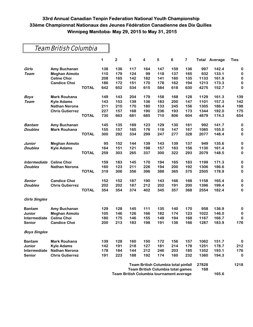#### Team British Columbia

|                      |                        |              | 1   | 2   | 3   | 4   | 5   | 6                                                                                      | 7   |              | <b>Total Average</b> | Ties     |
|----------------------|------------------------|--------------|-----|-----|-----|-----|-----|----------------------------------------------------------------------------------------|-----|--------------|----------------------|----------|
| Girls                | Amy Buchanan           |              | 138 | 136 | 117 | 164 | 147 | 159                                                                                    | 136 | 997          | 142.4                | $\bf{0}$ |
| Team                 | <b>Meghan Aimoto</b>   |              | 110 | 179 | 124 | 99  | 118 | 137                                                                                    | 165 | 932          | 133.1                | $\bf{0}$ |
|                      | <b>Celine Choi</b>     |              | 208 | 165 | 142 | 182 | 141 | 160                                                                                    | 135 | 1133         | 161.9                | $\bf{0}$ |
|                      | <b>Candice Choi</b>    |              | 186 | 172 | 151 | 170 | 178 | 162                                                                                    | 194 | 1213         | 173.3                | 0        |
|                      |                        | <b>TOTAL</b> | 642 | 652 | 534 | 615 | 584 | 618                                                                                    | 630 | 4275         | 152.7                | $\bf{0}$ |
| <b>Boys</b>          | <b>Mark Rouhana</b>    |              | 149 | 143 | 204 | 179 | 158 | 168                                                                                    | 128 | 1129         | 161.3                | 139      |
| Team                 | <b>Kyle Adams</b>      |              | 143 | 153 | 139 | 136 | 183 | 200                                                                                    | 147 | 1101         | 157.3                | 142      |
|                      | <b>Nathan Nerona</b>   |              | 211 | 210 | 170 | 180 | 133 | 245                                                                                    | 156 | 1305         | 186.4                | 198      |
|                      | <b>Chris Gutierrez</b> |              | 227 | 157 | 168 | 190 | 236 | 193                                                                                    | 173 | 1344         | 192.0                | 175      |
|                      |                        | <b>TOTAL</b> | 730 | 663 | 681 | 685 | 710 | 806                                                                                    | 604 | 4879         | 174.3                | 654      |
| <b>Bantam</b>        | Amy Buchanan           |              | 145 | 135 | 169 | 123 | 129 | 130                                                                                    | 161 | 992          | 141.7                | $\bf{0}$ |
| <b>Doubles</b>       | <b>Mark Rouhana</b>    |              | 155 | 157 | 165 | 176 | 118 | 147                                                                                    | 167 | 1085         | 155.0                | 0        |
|                      |                        | <b>TOTAL</b> | 300 | 292 | 334 | 299 | 247 | 277                                                                                    | 328 | 2077         | 148.4                | 0        |
| Junior               | <b>Meghan Aimoto</b>   |              | 95  | 152 | 144 | 139 | 143 | 139                                                                                    | 137 | 949          | 135.6                | 0        |
| <b>Doubles</b>       | <b>Kyle Adams</b>      |              | 164 | 151 | 121 | 198 | 157 | 183                                                                                    | 156 | 1130         | 161.4                | $\bf{0}$ |
|                      |                        | <b>TOTAL</b> | 259 | 303 | 265 | 337 | 300 | 322                                                                                    | 293 | 2079         | 148.5                | 0        |
| Intermediate         | <b>Celine Choi</b>     |              | 159 | 183 | 145 | 170 | 194 | 165                                                                                    | 183 | 1199         | 171.3                | $\bf{0}$ |
| <b>Doubles</b>       | <b>Nathan Nerona</b>   |              | 160 | 123 | 211 | 226 | 194 | 200                                                                                    | 192 | 1306         | 186.6                | 0        |
|                      |                        | <b>TOTAL</b> | 319 | 306 | 356 | 396 | 388 | 365                                                                                    | 375 | 2505         | 178.9                | $\bf{0}$ |
| Senior               | <b>Candice Choi</b>    |              | 152 | 152 | 187 | 190 | 143 | 166                                                                                    | 168 | 1158         | 165.4                | $\bf{0}$ |
| <b>Doubles</b>       | <b>Chris Gutierrez</b> |              | 202 | 202 | 187 | 212 | 202 | 191                                                                                    | 200 | 1396         | 199.4                | 0        |
|                      |                        | <b>TOTAL</b> | 354 | 354 | 374 | 402 | 345 | 357                                                                                    | 368 | 2554         | 182.4                | 0        |
| <b>Girls Singles</b> |                        |              |     |     |     |     |     |                                                                                        |     |              |                      |          |
| <b>Bantam</b>        | Amy Buchanan           |              | 129 | 128 | 145 | 111 | 135 | 140                                                                                    | 170 | 958          | 136.9                | 0        |
| Junior               | <b>Meghan Aimoto</b>   |              | 105 | 146 | 126 | 166 | 182 | 174                                                                                    | 123 | 1022         | 146.0                | $\bf{0}$ |
| Intermediate         | <b>Celine Choi</b>     |              | 180 | 175 | 146 | 155 | 149 | 194                                                                                    | 168 | 1167         | 166.7                | 0        |
| <b>Senior</b>        | <b>Candice Choi</b>    |              | 200 | 213 | 183 | 198 | 191 | 136                                                                                    | 166 | 1287         | 183.9                | 176      |
| <b>Boys Singles</b>  |                        |              |     |     |     |     |     |                                                                                        |     |              |                      |          |
| <b>Bantam</b>        | <b>Mark Rouhana</b>    |              | 139 | 128 | 160 | 150 | 172 | 156                                                                                    | 157 | 1062         | 151.7                | 0        |
| Junior               | Kyle Adams             |              | 142 | 191 | 218 | 127 | 181 | 214                                                                                    | 178 | 1251         | 178.7                | 212      |
| Intermediate         | <b>Nathan Nerona</b>   |              | 178 | 184 | 144 | 212 | 246 | 203                                                                                    | 185 | 1352         | 193.1                | 176      |
| Senior               | <b>Chris Gutierrez</b> |              | 191 | 223 | 188 | 192 | 174 | 160                                                                                    | 232 | 1360         | 194.3                | $\bf{0}$ |
|                      |                        |              |     |     |     |     |     | <b>Team British Columbia total pinfall</b><br><b>Team British Columbia total games</b> |     | 27828<br>168 |                      | 1218     |

**Team British Columbia tournament average 165.6**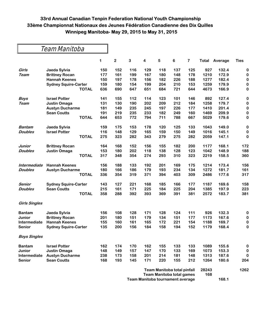#### Team Manitoba

|                      |                             | 1   | $\overline{2}$ | 3   | 4   | 5   | 6                           | $\overline{\mathbf{7}}$ | Total | Average | <b>Ties</b> |
|----------------------|-----------------------------|-----|----------------|-----|-----|-----|-----------------------------|-------------------------|-------|---------|-------------|
| Girls                | Jaeda Sylvia                | 150 | 152            | 116 | 129 | 118 | 137                         | 125                     | 927   | 132.4   | $\bf{0}$    |
| Team                 | <b>Brittney Rocan</b>       | 177 | 161            | 199 | 167 | 180 | 148                         | 178                     | 1210  | 172.9   | $\bf{0}$    |
|                      | <b>Hannah Keenes</b>        | 150 | 197            | 178 | 156 | 182 | 226                         | 188                     | 1277  | 182.4   | $\bf{0}$    |
|                      | <b>Sydney Squire-Carter</b> | 159 | 180            | 154 | 199 | 204 | 210                         | 153                     | 1259  | 179.9   | $\bf{0}$    |
|                      | <b>TOTAL</b>                | 636 | 690            | 647 | 651 | 684 | 721                         | 644                     | 4673  | 166.9   | $\bf{0}$    |
| <b>Boys</b>          | <b>Israel Potter</b>        | 141 | 155            | 112 | 114 | 123 | 101                         | 146                     | 892   | 127.4   | $\bf{0}$    |
| Team                 | Justin Omaga                | 131 | 130            | 190 | 202 | 209 | 212                         | 184                     | 1258  | 179.7   | $\bf{0}$    |
|                      | <b>Austyn Ducharme</b>      | 181 | 149            | 235 | 245 | 197 | 226                         | 177                     | 1410  | 201.4   | $\bf{0}$    |
|                      | <b>Sean Coutts</b>          | 191 | 219            | 235 | 233 | 182 | 249                         | 160                     | 1469  | 209.9   | $\bf{0}$    |
|                      | <b>TOTAL</b>                | 644 | 653            | 772 | 794 | 711 | 788                         | 667                     | 5029  | 179.6   | 0           |
| Bantam               | Jaeda Sylvia                | 159 | 175            | 153 | 178 | 120 | 125                         | 133                     | 1043  | 149.0   | $\bf{0}$    |
| <b>Doubles</b>       | <b>Israel Potter</b>        | 116 | 148            | 129 | 165 | 159 | 150                         | 149                     | 1016  | 145.1   | $\bf{0}$    |
|                      | <b>TOTAL</b>                | 275 | 323            | 282 | 343 | 279 | 275                         | 282                     | 2059  | 147.1   | $\bf{0}$    |
| Junior               | <b>Brittney Rocan</b>       | 164 | 168            | 152 | 156 | 155 | 182                         | 200                     | 1177  | 168.1   | 172         |
| <b>Doubles</b>       | <b>Justin Omaga</b>         | 153 | 180            | 202 | 118 | 138 | 128                         | 123                     | 1042  | 148.9   | 188         |
|                      | <b>TOTAL</b>                | 317 | 348            | 354 | 274 | 293 | 310                         | 323                     | 2219  | 158.5   | 360         |
| Intermediate         | <b>Hannah Keenes</b>        | 156 | 188            | 133 | 192 | 201 | 169                         | 175                     | 1214  | 173.4   | 156         |
| <b>Doubles</b>       | <b>Austyn Ducharme</b>      | 180 | 166            | 186 | 179 | 193 | 234                         | 134                     | 1272  | 181.7   | 161         |
|                      | <b>TOTAL</b>                | 336 | 354            | 319 | 371 | 394 | 403                         | 309                     | 2486  | 177.6   | 317         |
| Senior               | <b>Sydney Squire-Carter</b> | 143 | 127            | 221 | 168 | 185 | 166                         | 177                     | 1187  | 169.6   | 158         |
| Doubles              | <b>Sean Coutts</b>          | 215 | 161            | 171 | 225 | 184 | 225                         | 204                     | 1385  | 197.9   | 223         |
|                      | <b>TOTAL</b>                | 358 | 288            | 392 | 393 | 369 | 391                         | 381                     | 2572  | 183.7   | 381         |
| <b>Girls Singles</b> |                             |     |                |     |     |     |                             |                         |       |         |             |
| <b>Bantam</b>        | Jaeda Sylvia                | 156 | 108            | 128 | 171 | 128 | 124                         | 111                     | 926   | 132.3   | 0           |
| Junior               | <b>Brittney Rocan</b>       | 201 | 180            | 151 | 179 | 134 | 151                         | 177                     | 1173  | 167.6   | $\bf{0}$    |
| <b>Intermediate</b>  | <b>Hannah Keenes</b>        | 155 | 160            | 161 | 165 | 172 | 221                         | 154                     | 1188  | 169.7   | 0           |
| <b>Senior</b>        | <b>Sydney Squire-Carter</b> | 135 | 200            | 156 | 184 | 158 | 194                         | 152                     | 1179  | 168.4   | 0           |
| <b>Boys Singles</b>  |                             |     |                |     |     |     |                             |                         |       |         |             |
| <b>Bantam</b>        | <b>Israel Potter</b>        | 162 | 174            | 170 | 162 | 155 | 133                         | 133                     | 1089  | 155.6   | 0           |
| Junior               | Justin Omaga                | 148 | 149            | 157 | 147 | 170 | 133                         | 169                     | 1073  | 153.3   | 0           |
| <b>Intermediate</b>  | <b>Austyn Ducharme</b>      | 238 | 173            | 158 | 201 | 214 | 181                         | 148                     | 1313  | 187.6   | $\bf{0}$    |
| <b>Senior</b>        | <b>Sean Coutts</b>          | 168 | 193            | 145 | 171 | 220 | 155                         | 212                     | 1264  | 180.6   | 204         |
|                      |                             |     |                |     |     |     | Team Manitoba total pinfall |                         | 28243 |         | 1262        |

**Team Manitoba total games 168 Team Manitoba tournament average 168.1**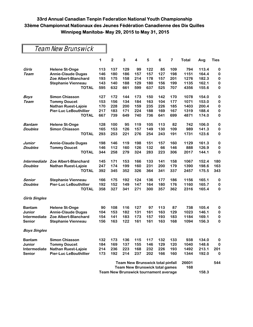### Team New Brunswick

|                      |                               | 1                                       | $\mathbf 2$ | 3   | 4   | 5   | 6                                     | 7     | <b>Total</b> | Avg   | Ties      |
|----------------------|-------------------------------|-----------------------------------------|-------------|-----|-----|-----|---------------------------------------|-------|--------------|-------|-----------|
| Girls                | <b>Helene St-Onge</b>         | 113                                     | 137         | 129 | 99  | 122 | 85                                    | 109   | 794          | 113.4 | 0         |
| Team                 | <b>Annie-Claude Dugas</b>     | 146                                     | 180         | 186 | 157 | 157 | 127                                   | 198   | 1151         | 164.4 | 0         |
|                      | Zoe Albert-Blanchard          | 193                                     | 175         | 158 | 214 | 178 | 157                                   | 201   | 1276         | 182.3 | $\pmb{0}$ |
|                      | <b>Stephanie Vienneau</b>     | 143                                     | 140         | 188 | 129 | 180 | 156                                   | 199   | 1135         | 162.1 | $\pmb{0}$ |
|                      | <b>TOTAL</b>                  | 595                                     | 632         | 661 | 599 | 637 | 525                                   | 707   | 4356         | 155.6 | 0         |
| <b>Boys</b>          | <b>Simon Chiasson</b>         | 127                                     | 172         | 144 | 173 | 150 | 142                                   | 170   | 1078         | 154.0 | 0         |
| Team                 | <b>Tommy Doucet</b>           | 153                                     | 156         | 134 | 184 | 163 | 104                                   | 177   | 1071         | 153.0 | 0         |
|                      | <b>Nathan Ruest-Lajoie</b>    | 170                                     | 228         | 200 | 159 | 235 | 226                                   | 185   | 1403         | 200.4 | 0         |
|                      | <b>Pier-Luc LeBouthillier</b> | 217                                     | 183         | 171 | 224 | 188 | 169                                   | 167   | 1319         | 188.4 | $\pmb{0}$ |
|                      | <b>TOTAL</b>                  | 667                                     | 739         | 649 | 740 | 736 | 641                                   | 699   | 4871         | 174.0 | 0         |
| Bantam               | <b>Helene St-Onge</b>         | 128                                     | 100         | 95  | 119 | 105 | 113                                   | 82    | 742          | 106.0 | 0         |
| <b>Doubles</b>       | <b>Simon Chiasson</b>         | 165                                     | 153         | 126 | 157 | 149 | 130                                   | 109   | 989          | 141.3 | 0         |
|                      | <b>TOTAL</b>                  | 293                                     | 253         | 221 | 276 | 254 | 243                                   | 191   | 1731         | 123.6 | 0         |
| Junior               | <b>Annie-Claude Dugas</b>     | 198                                     | 146         | 119 | 198 | 151 | 157                                   | 160   | 1129         | 161.3 | $\pmb{0}$ |
| <b>Doubles</b>       | <b>Tommy Doucet</b>           | 146                                     | 112         | 160 | 126 | 132 | 66                                    | 146   | 888          | 126.9 | 0         |
|                      | <b>TOTAL</b>                  | 344                                     | 258         | 279 | 324 | 283 | 223                                   | 306   | 2017         | 144.1 | 0         |
| Intermediate         | Zoe Albert-Blanchard          | 145                                     | 171         | 153 | 166 | 133 | 141                                   | 158   | 1067         | 152.4 | 180       |
| <b>Doubles</b>       | Nathan Ruest-Lajoie           | 247                                     | 174         | 199 | 160 | 231 | 200                                   | 179   | 1390         | 198.6 | 163       |
|                      | <b>TOTAL</b>                  | 392                                     | 345         | 352 | 326 | 364 | 341                                   | 337   | 2457         | 175.5 | 343       |
| Senior               | <b>Stephanie Vienneau</b>     | 166                                     | 175         | 192 | 124 | 136 | 177                                   | 186   | 1156         | 165.1 | 0         |
| <b>Doubles</b>       | <b>Pier-Luc LeBouthillier</b> | 192                                     | 152         | 149 | 147 | 164 | 180                                   | 176   | 1160         | 165.7 | 0         |
|                      | <b>TOTAL</b>                  | 358                                     | 327         | 341 | 271 | 300 | 357                                   | 362   | 2316         | 165.4 | 0         |
| <b>Girls Singles</b> |                               |                                         |             |     |     |     |                                       |       |              |       |           |
| <b>Bantam</b>        | <b>Helene St-Onge</b>         | 90                                      | 108         | 116 | 127 | 97  | 113                                   | 87    | 738          | 105.4 | 0         |
| Junior               | <b>Annie-Claude Dugas</b>     | 104                                     | 153         | 182 | 131 | 161 | 163                                   | 129   | 1023         | 146.1 | 0         |
| Intermediate         | Zoe Albert-Blanchard          | 154                                     | 141         | 183 | 173 | 157 | 193                                   | 183   | 1184         | 169.1 | $\pmb{0}$ |
| Senior               | Stephanie Vienneau            | 156                                     | 163         | 122 | 161 | 161 | 163                                   | 168   | 1094         | 156.3 | 0         |
| <b>Boys Singles</b>  |                               |                                         |             |     |     |     |                                       |       |              |       |           |
| <b>Bantam</b>        | <b>Simon Chiasson</b>         | 132                                     | 173         | 136 | 115 | 117 | 132                                   | 133   | 938          | 134.0 | 0         |
| Junior               | <b>Tommy Doucet</b>           | 184                                     | 169         | 137 | 155 | 146 | 129                                   | 120   | 1040         | 148.6 | 0         |
| Intermediate         | <b>Nathan Ruest-Lajoie</b>    | 214                                     | 236         | 223 | 168 | 232 | 226                                   | 193   | 1492         | 213.1 | 201       |
| <b>Senior</b>        | <b>Pier-Luc LeBouthillier</b> | 173                                     | 192         | 214 | 237 | 202 | 166                                   | 160   | 1344         | 192.0 | 0         |
|                      |                               | <b>Team New Brunswick total pinfall</b> |             |     |     |     |                                       | 26601 |              | 544   |           |
|                      |                               |                                         |             |     |     |     | <b>Team New Brunswick total games</b> |       | 168          |       |           |
|                      |                               | Team New Brunswick tournament average   |             |     |     |     |                                       |       | 158.3        |       |           |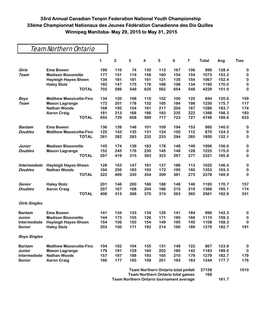### Team Northern Ontario

|                      |                                | 1   | $\overline{\mathbf{c}}$ | 3   | 4   | 5   | 6                                                                        | $\overline{7}$ | <b>Total</b> | Avg   | <b>Ties</b> |
|----------------------|--------------------------------|-----|-------------------------|-----|-----|-----|--------------------------------------------------------------------------|----------------|--------------|-------|-------------|
| Girls                | <b>Ema Bowen</b>               | 199 | 110                     | 74  | 130 | 113 | 167                                                                      | 106            | 899          | 128.4 | 0           |
| Team                 | <b>Madison Bissonette</b>      | 177 | 151                     | 119 | 158 | 160 | 154                                                                      | 154            | 1073         | 153.3 | 0           |
|                      | <b>Hayleigh Hayes-Sheen</b>    | 134 | 181                     | 181 | 161 | 121 | 135                                                                      | 154            | 1067         | 152.4 | $\pmb{0}$   |
|                      | <b>Haley Stolz</b>             | 192 | 147                     | 175 | 176 | 168 | 198                                                                      | 134            | 1190         | 170.0 | $\bf{0}$    |
|                      | <b>TOTAL</b>                   | 702 | 589                     | 549 | 625 | 562 | 654                                                                      | 548            | 4229         | 151.0 | $\bf{0}$    |
| <b>Boys</b>          | <b>Matthew Massicotte-Finc</b> | 134 | 120                     | 108 | 110 | 152 | 100                                                                      | 120            | 844          | 120.6 | 159         |
| <b>Team</b>          | <b>Mason Lagrange</b>          | 172 | 201                     | 178 | 132 | 165 | 184                                                                      | 198            | 1230         | 175.7 | 117         |
|                      | <b>Nathan Woods</b>            | 168 | 195                     | 154 | 161 | 217 | 204                                                                      | 187            | 1286         | 183.7 | 174         |
|                      | <b>Aaron Craig</b>             | 181 | 213                     | 168 | 186 | 183 | 235                                                                      | 222            | 1388         | 198.3 | 183         |
|                      | <b>TOTAL</b>                   | 655 | 729                     | 608 | 589 | 717 | 723                                                                      | 727            | 4748         | 169.6 | 633         |
| <b>Bantam</b>        | <b>Ema Bowen</b>               | 136 | 139                     | 148 | 101 | 109 | 194                                                                      | 153            | 980          | 140.0 | 0           |
| <b>Doubles</b>       | <b>Matthew Massicotte-Finc</b> | 125 | 143                     | 135 | 131 | 124 | 100                                                                      | 112            | 870          | 124.3 | 0           |
|                      | <b>TOTAL</b>                   | 261 | 282                     | 283 | 232 | 233 | 294                                                                      | 265            | 1850         | 132.1 | $\pmb{0}$   |
| Junior               | <b>Madison Bissonette</b>      | 145 | 174                     | 139 | 163 | 178 | 148                                                                      | 149            | 1096         | 156.6 | $\pmb{0}$   |
| <b>Doubles</b>       | <b>Mason Lagrange</b>          | 152 | 245                     | 176 | 230 | 145 | 149                                                                      | 128            | 1225         | 175.0 | $\bf{0}$    |
|                      | <b>TOTAL</b>                   | 297 | 419                     | 315 | 393 | 323 | 297                                                                      | 277            | 2321         | 165.8 | 0           |
| Intermediate         | <b>Hayleigh Hayes-Sheen</b>    | 128 | 153                     | 147 | 161 | 137 | 186                                                                      | 113            | 1025         | 146.4 | $\pmb{0}$   |
| <b>Doubles</b>       | <b>Nathan Woods</b>            | 194 | 256                     | 183 | 193 | 172 | 195                                                                      | 160            | 1353         | 193.3 | $\bf{0}$    |
|                      | <b>TOTAL</b>                   | 322 | 409                     | 330 | 354 | 309 | 381                                                                      | 273            | 2378         | 169.9 | 0           |
| Senior               | <b>Haley Stolz</b>             | 201 | 146                     | 200 | 166 | 188 | 148                                                                      | 146            | 1195         | 170.7 | 157         |
| <b>Doubles</b>       | <b>Aaron Craig</b>             | 207 | 167                     | 168 | 204 | 186 | 215                                                                      | 219            | 1366         | 195.1 | 174         |
|                      | <b>TOTAL</b>                   | 408 | 313                     | 368 | 370 | 374 | 363                                                                      | 365            | 2561         | 182.9 | 331         |
| <b>Girls Singles</b> |                                |     |                         |     |     |     |                                                                          |                |              |       |             |
| <b>Bantam</b>        | <b>Ema Bowen</b>               | 141 | 134                     | 133 | 134 | 129 | 141                                                                      | 184            | 996          | 142.3 | $\bf{0}$    |
| Junior               | <b>Madison Bissonette</b>      | 144 | 173                     | 155 | 126 | 171 | 180                                                                      | 166            | 1115         | 159.3 | $\pmb{0}$   |
| Intermediate         | <b>Hayleigh Hayes-Sheen</b>    | 154 | 156                     | 155 | 154 | 149 | 195                                                                      | 145            | 1108         | 158.3 | $\bf{0}$    |
| <b>Senior</b>        | <b>Haley Stolz</b>             | 203 | 150                     | 171 | 192 | 214 | 160                                                                      | 189            | 1279         | 182.7 | 191         |
| <b>Boys Singles</b>  |                                |     |                         |     |     |     |                                                                          |                |              |       |             |
| <b>Bantam</b>        | <b>Matthew Massicotte-Finc</b> | 104 | 102                     | 104 | 155 | 131 | 149                                                                      | 122            | 867          | 123.9 | 0           |
| Junior               | <b>Mason Lagrange</b>          | 179 | 191                     | 129 | 160 | 202 | 180                                                                      | 142            | 1183         | 169.0 | 0           |
| Intermediate         | <b>Nathan Woods</b>            | 157 | 187                     | 188 | 193 | 165 | 210                                                                      | 179            | 1279         | 182.7 | 179         |
| Senior               | <b>Aaron Craig</b>             | 166 | 177                     | 165 | 159 | 201 | 193                                                                      | 183            | 1244         | 177.7 | 176         |
|                      |                                |     |                         |     |     |     | Team Northern Ontario total pinfall<br>Team Northern Ontario total games |                | 27158<br>168 |       | 1510        |

**Team Northern Ontario tournament average 161.7**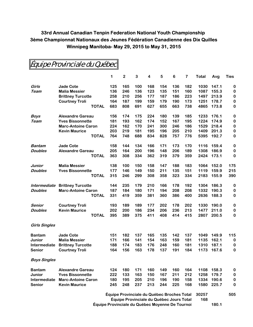|                                          |                           | 1                                          | $\mathbf 2$ | 3   | 4   | 5   | 6   | 7   | Total | Avg   | <b>Ties</b> |
|------------------------------------------|---------------------------|--------------------------------------------|-------------|-----|-----|-----|-----|-----|-------|-------|-------------|
| Girls                                    | <b>Jade Cote</b>          | 125                                        | 165         | 100 | 168 | 154 | 136 | 182 | 1030  | 147.1 | 0           |
| Team                                     | <b>Malia Messier</b>      | 136                                        | 246         | 136 | 123 | 135 | 151 | 160 | 1087  | 155.3 | 0           |
|                                          | <b>Brittney Turcotte</b>  | 258                                        | 210         | 256 | 177 | 187 | 186 | 223 | 1497  | 213.9 | $\bf{0}$    |
|                                          | <b>Courtney Troli</b>     | 164                                        | 187         | 199 | 159 | 179 | 190 | 173 | 1251  | 178.7 | $\bf{0}$    |
|                                          | <b>TOTAL</b>              | 683                                        | 808         | 691 | 627 | 655 | 663 | 738 | 4865  | 173.8 | 0           |
| <b>Boys</b>                              | <b>Alexandre Gareau</b>   | 156                                        | 174         | 175 | 224 | 180 | 139 | 185 | 1233  | 176.1 | 0           |
| Team                                     | <b>Yves Bissonnette</b>   | 181                                        | 193         | 162 | 174 | 152 | 167 | 195 | 1224  | 174.9 | $\bf{0}$    |
|                                          | <b>Marc-Antoine Caron</b> | 224                                        | 162         | 170 | 241 | 300 | 246 | 186 | 1529  | 218.4 | $\bf{0}$    |
|                                          | <b>Kevin Maurice</b>      | 203                                        | 219         | 181 | 195 | 196 | 205 | 210 | 1409  | 201.3 | $\bf{0}$    |
|                                          | <b>TOTAL</b>              | 764                                        | 748         | 688 | 834 | 828 | 757 | 776 | 5395  | 192.7 | 0           |
| Bantam                                   | <b>Jade Cote</b>          | 158                                        | 144         | 134 | 166 | 171 | 173 | 170 | 1116  | 159.4 | 0           |
| <b>Doubles</b>                           | <b>Alexandre Gareau</b>   | 205                                        | 164         | 200 | 196 | 148 | 206 | 189 | 1308  | 186.9 | $\bf{0}$    |
|                                          | <b>TOTAL</b>              | 363                                        | 308         | 334 | 362 | 319 | 379 | 359 | 2424  | 173.1 | $\bf{0}$    |
| Junior                                   | <b>Malia Messier</b>      | 138                                        | 100         | 150 | 158 | 147 | 188 | 183 | 1064  | 152.0 | 175         |
| <b>Doubles</b>                           | <b>Yves Bissonnette</b>   | 177                                        | 146         | 149 | 150 | 211 | 135 | 151 | 1119  | 159.9 | 215         |
|                                          | <b>TOTAL</b>              | 315                                        | 246         | 299 | 308 | 358 | 323 | 334 | 2183  | 155.9 | 390         |
| Intermediate                             | <b>Brittney Turcotte</b>  | 144                                        | 235         | 179 | 210 | 166 | 178 | 192 | 1304  | 186.3 | 0           |
| <b>Doubles</b>                           | <b>Marc-Antoine Caron</b> | 187                                        | 184         | 180 | 171 | 194 | 208 | 208 | 1332  | 190.3 | 0           |
|                                          | <b>TOTAL</b>              | 331                                        | 419         | 359 | 381 | 360 | 386 | 400 | 2636  | 188.3 | 0           |
| Senior                                   | <b>Courtney Troli</b>     | 193                                        | 189         | 189 | 177 | 202 | 178 | 202 | 1330  | 190.0 | 0           |
| <b>Doubles</b>                           | <b>Kevin Maurice</b>      | 202                                        | 200         | 186 | 234 | 206 | 236 | 213 | 1477  | 211.0 | 0           |
|                                          | <b>TOTAL</b>              | 395                                        | 389         | 375 | 411 | 408 | 414 | 415 | 2807  | 200.5 | $\pmb{0}$   |
| <b>Girls Singles</b>                     |                           |                                            |             |     |     |     |     |     |       |       |             |
| <b>Bantam</b>                            | <b>Jade Cote</b>          | 151                                        | 182         | 137 | 165 | 135 | 142 | 137 | 1049  | 149.9 | 115         |
| Junior                                   | <b>Malia Messier</b>      | 171                                        | 166         | 141 | 154 | 163 | 159 | 181 | 1135  | 162.1 | $\bf{0}$    |
| Intermediate                             | <b>Brittney Turcotte</b>  | 188                                        | 174         | 183 | 176 | 248 | 160 | 181 | 1310  | 187.1 | $\bf{0}$    |
| Senior                                   | <b>Courtney Troli</b>     | 164                                        | 156         | 163 | 178 | 137 | 191 | 184 | 1173  | 167.6 | $\bf{0}$    |
| <b>Boys Singles</b>                      |                           |                                            |             |     |     |     |     |     |       |       |             |
| <b>Bantam</b>                            | <b>Alexandre Gareau</b>   | 124                                        | 180         | 171 | 160 | 149 | 160 | 164 | 1108  | 158.3 | $\bf{0}$    |
| Junior                                   | <b>Yves Bissonnette</b>   | 222                                        | 133         | 163 | 150 | 167 | 211 | 212 | 1258  | 179.7 | $\bf{0}$    |
| Intermediate                             | <b>Marc-Antoine Caron</b> | 180                                        | 195         | 205 | 210 | 196 | 190 | 158 | 1334  | 190.6 | $\bf{0}$    |
| <b>Senior</b>                            | <b>Kevin Maurice</b>      | 245                                        | 248         | 237 | 213 | 244 | 225 | 168 | 1580  | 225.7 | 0           |
|                                          |                           | Équipe Provinciale du Québec Broches Total |             |     |     |     |     |     | 30257 |       | 505         |
| Équipe Provinciale du Québec Jours Total |                           |                                            |             |     |     |     | 168 |     |       |       |             |

Équipe Provinciale du Québec

**Équipe Provinciale du Québec Moyenne De Tournoi 180.1**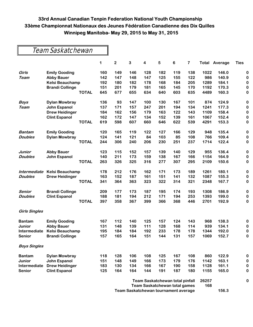### Team Saskatchewan

|                      |                        |              | 1   | $\mathbf 2$ | 3   | $\overline{\mathbf{4}}$ | 5   | 6                                    | 7   | Total | Average | <b>Ties</b> |
|----------------------|------------------------|--------------|-----|-------------|-----|-------------------------|-----|--------------------------------------|-----|-------|---------|-------------|
| Girls                | <b>Emily Gooding</b>   |              | 160 | 149         | 146 | 128                     | 182 | 119                                  | 138 | 1022  | 146.0   | 0           |
| <b>Team</b>          | <b>Abby Bauer</b>      |              | 142 | 147         | 148 | 147                     | 125 | 155                                  | 122 | 986   | 140.9   | 0           |
|                      | <b>Kelsi Beauchamp</b> |              | 192 | 180         | 182 | 178                     | 168 | 184                                  | 205 | 1289  | 184.1   | $\bf{0}$    |
|                      | <b>Brandi Collinge</b> |              | 151 | 201         | 179 | 181                     | 165 | 145                                  | 170 | 1192  | 170.3   | $\bf{0}$    |
|                      |                        | <b>TOTAL</b> | 645 | 677         | 655 | 634                     | 640 | 603                                  | 635 | 4489  | 160.3   | 0           |
| <b>Boys</b>          | <b>Dylan Mowbray</b>   |              | 136 | 93          | 147 | 100                     | 130 | 167                                  | 101 | 874   | 124.9   | $\bf{0}$    |
| <b>Team</b>          | <b>John Espanol</b>    |              | 137 | 171         | 157 | 247                     | 201 | 194                                  | 134 | 1241  | 177.3   | 0           |
|                      | <b>Drew Heidinger</b>  |              | 184 | 162         | 156 | 179                     | 163 | 122                                  | 143 | 1109  | 158.4   | $\bf{0}$    |
|                      | <b>Clint Espanol</b>   |              | 162 | 172         | 147 | 134                     | 152 | 139                                  | 161 | 1067  | 152.4   | $\bf{0}$    |
|                      |                        | <b>TOTAL</b> | 619 | 598         | 607 | 660                     | 646 | 622                                  | 539 | 4291  | 153.3   | $\bf{0}$    |
| Bantam               | <b>Emily Gooding</b>   |              | 120 | 165         | 119 | 122                     | 127 | 166                                  | 129 | 948   | 135.4   | $\bf{0}$    |
| <b>Doubles</b>       | <b>Dylan Mowbray</b>   |              | 124 | 141         | 121 | 84                      | 103 | 85                                   | 108 | 766   | 109.4   | 0           |
|                      |                        | <b>TOTAL</b> | 244 | 306         | 240 | 206                     | 230 | 251                                  | 237 | 1714  | 122.4   | 0           |
| <b>Junior</b>        | <b>Abby Bauer</b>      |              | 123 | 115         | 152 | 157                     | 139 | 140                                  | 129 | 955   | 136.4   | $\bf{0}$    |
| <b>Doubles</b>       | <b>John Espanol</b>    |              | 140 | 211         | 173 | 159                     | 138 | 167                                  | 166 | 1154  | 164.9   | 0           |
|                      |                        | <b>TOTAL</b> | 263 | 326         | 325 | 316                     | 277 | 307                                  | 295 | 2109  | 150.6   | 0           |
| Intermediate         | Kelsi Beauchamp        |              | 178 | 212         | 176 | 162                     | 171 | 173                                  | 189 | 1261  | 180.1   | $\bf{0}$    |
| <b>Doubles</b>       | <b>Drew Heidinger</b>  |              | 163 | 152         | 187 | 161                     | 151 | 141                                  | 132 | 1087  | 155.3   | 0           |
|                      |                        | <b>TOTAL</b> | 341 | 364         | 363 | 323                     | 322 | 314                                  | 321 | 2348  | 167.7   | 0           |
| Senior               | <b>Brandi Collinge</b> |              | 209 | 177         | 173 | 187                     | 195 | 174                                  | 193 | 1308  | 186.9   | $\bf{0}$    |
| <b>Doubles</b>       | <b>Clint Espanol</b>   |              | 188 | 181         | 194 | 212                     | 171 | 194                                  | 253 | 1393  | 199.0   | 0           |
|                      |                        | <b>TOTAL</b> | 397 | 358         | 367 | 399                     | 366 | 368                                  | 446 | 2701  | 192.9   | 0           |
| <b>Girls Singles</b> |                        |              |     |             |     |                         |     |                                      |     |       |         |             |
| <b>Bantam</b>        | <b>Emily Gooding</b>   |              | 167 | 112         | 140 | 125                     | 157 | 124                                  | 143 | 968   | 138.3   | 0           |
| Junior               | <b>Abby Bauer</b>      |              | 131 | 148         | 139 | 111                     | 128 | 168                                  | 114 | 939   | 134.1   | 0           |
| Intermediate         | Kelsi Beauchamp        |              | 195 | 184         | 184 | 192                     | 233 | 178                                  | 178 | 1344  | 192.0   | 0           |
| <b>Senior</b>        | <b>Brandi Collinge</b> |              | 157 | 165         | 164 | 151                     | 144 | 131                                  | 157 | 1069  | 152.7   | $\bf{0}$    |
| <b>Boys Singles</b>  |                        |              |     |             |     |                         |     |                                      |     |       |         |             |
| <b>Bantam</b>        | <b>Dylan Mowbray</b>   |              | 118 | 128         | 106 | 108                     | 125 | 167                                  | 108 | 860   | 122.9   | 0           |
| Junior               | John Espanol           |              | 151 | 148         | 149 | 166                     | 173 | 179                                  | 176 | 1142  | 163.1   | 0           |
| Intermediate         | <b>Drew Heidinger</b>  |              | 183 | 130         | 134 | 166                     | 167 | 190                                  | 158 | 1128  | 161.1   | 0           |
| Senior               | <b>Clint Espanol</b>   |              | 125 | 164         | 164 | 144                     | 191 | 187                                  | 180 | 1155  | 165.0   | 0           |
|                      |                        |              |     |             |     |                         |     | Team Saskatchewan total pinfall      |     | 26257 |         | 0           |
|                      |                        |              |     |             |     |                         |     | <b>Team Saskatchewan total games</b> |     | 168   |         |             |
|                      |                        |              |     |             |     |                         |     | Team Saskatchewan tournament average |     |       | 156.3   |             |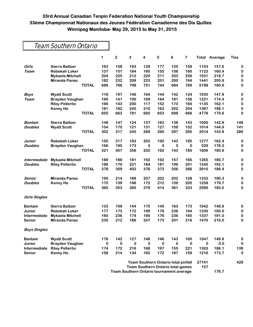$\blacksquare$ 

|                      | Team Southern Ontario   |          |                         |           |                                            |             |          |             |             |         |             |
|----------------------|-------------------------|----------|-------------------------|-----------|--------------------------------------------|-------------|----------|-------------|-------------|---------|-------------|
|                      |                         | 1        | $\overline{\mathbf{2}}$ | 3         | 4                                          | 5           | $\bf 6$  | 7           | Total       | Average | <b>Ties</b> |
| Girls                | <b>Sierra Baltzer</b>   | 163      | 158                     | 193       | 128                                        | 177         | 125      | 159         | 1103        | 157.6   | 0           |
| Team                 | <b>Rebekah Loker</b>    | 137      | 151                     | 184       | 180                                        | 155         | 156      | 160         | 1123        | 160.4   | 0           |
|                      | <b>Mykaela Mitchell</b> | 204      | 225                     | 212       | 220                                        | 211         | 203      | 256         | 1531        | 218.7   | 0           |
|                      | <b>Miranda Panas</b>    | 182      | 232                     | 209       | 223                                        | 201         | 200      | 194         | 1441        | 205.9   | 0           |
|                      | <b>TOTAL</b>            | 686      | 766                     | 798       | 751                                        | 744         | 684      | 769         | 5198        | 185.6   | 0           |
| Boys                 | <b>Wyatt Scott</b>      | 118      | 197                     | 146       | 164                                        | 144         | 142      | 124         | 1035        | 147.9   | $\bf{0}$    |
| Team                 | <b>Brayden Vaughan</b>  | 190      | 141                     | 190       | 169                                        | 194         | 181      | 156         | 1221        | 174.4   | 0           |
|                      | <b>Riley Pellerito</b>  | 166      | 143                     | 200       | 117                                        | 152         | 173      | 184         | 1135        | 162.1   | 0           |
|                      | <b>Kenny Ho</b>         | 181      | 182                     | 245       | 210                                        | 163         | 202      | 204         | 1387        | 198.1   | 0           |
|                      | <b>TOTAL</b>            | 655      | 663                     | 781       | 660                                        | 653         | 698      | 668         | 4778        | 170.6   | 0           |
| Bantam               | <b>Sierra Baltzer</b>   | 148      | 147                     | 124       | 137                                        | 163         | 138      | 143         | 1000        | 142.9   | 148         |
| <b>Doubles</b>       | <b>Wyatt Scott</b>      | 154      | 170                     | 121       | 131                                        | 127         | 159      | 152         | 1014        | 144.9   | 141         |
|                      | <b>TOTAL</b>            | 302      | 317                     | 245       | 268                                        | 290         | 297      | 295         | 2014        | 143.9   | 289         |
| Junior               | <b>Rebekah Loker</b>    | 155      | 217                     | 183       | 202                                        | 192         | 143      | 185         | 1277        | 182.4   | 0           |
| <b>Doubles</b>       | <b>Brayden Vaughan</b>  | 166      | 190                     | 173       | 0                                          | $\mathbf 0$ | 0        | 0           | 529         | 176.3   | 0           |
|                      | <b>TOTAL</b>            | 321      | 407                     | 356       | 202                                        | 192         | 143      | 185         | 1806        | 180.6   | 0           |
| Intermediate         | <b>Mykaela Mitchell</b> | 189      | 189                     | 181       | 192                                        | 192         | 157      | 165         | 1265        | 180.7   | $\bf{0}$    |
| <b>Doubles</b>       | <b>Riley Pellerito</b>  | 189      | 170                     | 221       | 184                                        | 181         | 199      | 201         | 1345        | 192.1   | 0           |
|                      | <b>TOTAL</b>            | 378      | 359                     | 402       | 376                                        | 373         | 356      | 366         | 2610        | 186.4   | 0           |
| Senior               | <b>Miranda Panas</b>    | 190      | 214                     | 189       | 207                                        | 202         | 202      | 128         | 1332        | 190.3   | 0           |
| <b>Doubles</b>       | <b>Kenny Ho</b>         | 175      | 139                     | 196       | 172                                        | 212         | 159      | 205         | 1258        | 179.7   | 0           |
|                      | <b>TOTAL</b>            | 365      | 353                     | 385       | 379                                        | 414         | 361      | 333         | 2590        | 185.0   | 0           |
| <b>Girls Singles</b> |                         |          |                         |           |                                            |             |          |             |             |         |             |
| <b>Bantam</b>        | <b>Sierra Baltzer</b>   | 133      | 109                     | 144       | 175                                        | 145         | 163      | 173         | 1042        | 148.9   | 0           |
| <b>Junior</b>        | <b>Rebekah Loker</b>    | 177      | 173                     | 172       | 199                                        | 179         | 236      | 194         | 1330        | 190.0   | 0           |
| Intermediate         | <b>Mykaela Mitchell</b> | 160      | 236                     | 174       | 190                                        | 176         | 236      | 165         | 1337        | 191.0   | $\bf{0}$    |
| Senior               | <b>Miranda Panas</b>    | 235      | 212                     | 186       | 247                                        | 173         | 201      | 216         | 1470        | 210.0   | 0           |
| <b>Boys Singles</b>  |                         |          |                         |           |                                            |             |          |             |             |         |             |
| <b>Bantam</b>        | <b>Wyatt Scott</b>      | 176      | 142                     | 127       | 148                                        | 146         | 143      | 165         | 1047        | 149.6   | 0           |
| Junior               | <b>Brayden Vaughan</b>  | $\bf{0}$ | $\bf{0}$                | $\pmb{0}$ | $\mathbf 0$                                | $\bf{0}$    | $\bf{0}$ | $\mathbf 0$ | $\mathbf 0$ | 0.0     | 0           |
| Intermediate         | <b>Riley Pellerito</b>  | 174      | 172                     | 216       | 168                                        | 197         | 155      | 221         | 1303        | 186.1   | 139         |
| <b>Senior</b>        | <b>Kenny Ho</b>         | 158      | 214                     | 134       | 192                                        | 172         | 187      | 159         | 1216        | 173.7   | 0           |
|                      |                         |          |                         |           | <b>Team Southern Ontario total pinfall</b> |             |          |             | 27741       |         | 428         |
|                      |                         |          |                         |           | <b>Team Southern Ontario total games</b>   |             |          |             | 157         |         |             |

**Team Southern Ontario tournament average 176.7**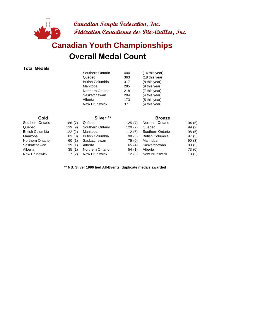

### **Overall Medal Count Canadian Youth Championships**

#### **Total Medals**

| Southern Ontario        | 404 | (14 this year) |
|-------------------------|-----|----------------|
| Québec                  | 363 | (18 this year) |
| <b>British Columbia</b> | 317 | (8 this year)  |
| Manitoba                | 285 | (9 this year)  |
| Northern Ontario        | 218 | (7 this year)  |
| Saskatchewan            | 204 | (4 this year)  |
| Alberta                 | 173 | (5 this year)  |
| New Brunswick           | 37  | (4 this year)  |

| Gold             |        | Silver <sup>**</sup>    |        | <b>Bronze</b>           |        |
|------------------|--------|-------------------------|--------|-------------------------|--------|
| Southern Ontario | 186(7) | Québec                  | 125(7) | <b>Northern Ontario</b> | 104(5) |
| Québec           | 139(9) | Southern Ontario        | 120(2) | Québec                  | 99 (2) |
| British Columbia | 122(2) | Manitoba                | 112(6) | Southern Ontario        | 98(5)  |
| Manitoba         | 83(0)  | <b>British Columbia</b> | 98(3)  | <b>British Columbia</b> | 97(3)  |
| Northern Ontario | 60(1)  | Saskatchewan            | 75(0)  | Manitoba                | 90(3)  |
| Saskatchewan     | 39(1)  | Alberta                 | 65(4)  | Saskatchewan            | 90(3)  |
| Alberta          | 35(1)  | Northern Ontario        | 54(1)  | Alberta                 | 73 (0) |
| New Brunswick    | 7(2)   | <b>New Brunswick</b>    | 12(0)  | <b>New Brunswick</b>    | 18(2)  |

**\*\* NB: Silver 1996 tied All-Events, duplicate medals awarded**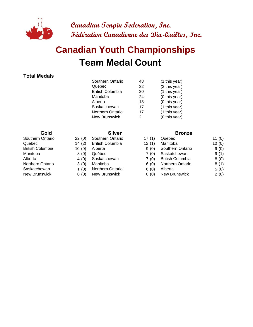

## **Team Medal Count Canadian Youth Championships**

#### **Total Medals**

| Southern Ontario        | 48            | (1 this year) |
|-------------------------|---------------|---------------|
| Québec                  | 32            | (2 this year) |
| <b>British Columbia</b> | 30            | (1 this year) |
| Manitoba                | 24            | (0 this year) |
| Alberta                 | 18            | (0 this year) |
| Saskatchewan            | 17            | (1 this year) |
| <b>Northern Ontario</b> | 17            | (1 this year) |
| <b>New Brunswick</b>    | $\mathcal{P}$ | (0 this year) |
|                         |               |               |

- Southern Ontario 22 (0) Southern Ontario 17
- Québec 14 (2) British Columbia
	-
	-
	-
	-
- Saskatchewan 1 (0) Northern Ontario
- New Brunswick 0 (0) New Brunswick

#### **Gold Silver Bronze**

| Southern Ontario<br>22(0)<br>Southern Ontario<br>17(1) | 11(0)<br>Québec                 |
|--------------------------------------------------------|---------------------------------|
| 14(2)<br><b>British Columbia</b><br>Québec<br>12(1)    | 10(0)<br>Manitoba               |
| British Columbia<br>10(0)<br>9(0)<br>Alberta           | Southern Ontario<br>9(0)        |
| Manitoba<br>8(0)<br>Québec<br>7(0)                     | 9(1)<br>Saskatchewan            |
| Alberta<br>4(0)<br>Saskatchewan<br>7(0)                | <b>British Columbia</b><br>8(0) |
| Northern Ontario<br>3(0)<br>Manitoba<br>6(0)           | <b>Northern Ontario</b><br>8(1) |
| Saskatchewan<br>Northern Ontario<br>1 $(0)$<br>6(0)    | Alberta<br>5(0)                 |
| New Brunswick<br>New Brunswick<br>0(0)<br>0(0)         | New Brunswick<br>2(0)           |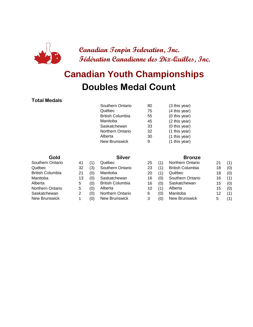

### **Doubles Medal Count Canadian Youth Championships**

#### **Total Medals**

| Southern Ontario        | 80 | (3 this year) |
|-------------------------|----|---------------|
| Québec                  | 75 | (4 this year) |
| <b>British Columbia</b> | 55 | (0 this year) |
| Manitoba                | 45 | (2 this year) |
| Saskatchewan            | 33 | (0 this year) |
| <b>Northern Ontario</b> | 32 | (1 this year) |
| Alberta                 | 30 | (1 this year) |
| <b>New Brunswick</b>    | 9  | (1 this year) |
|                         |    |               |

| Gold                    |    |     | <b>Silver</b>           |    |     | <b>Bronze</b>           |    |     |
|-------------------------|----|-----|-------------------------|----|-----|-------------------------|----|-----|
| Southern Ontario        | 41 | (1) | Québec                  | 25 | (1) | <b>Northern Ontario</b> | 21 | (1) |
| Québec                  | 32 | (3) | Southern Ontario        | 23 | (1) | <b>British Columbia</b> | 18 | (0) |
| <b>British Columbia</b> | 21 | (0) | Manitoba                | 20 | (1) | Québec                  | 18 | (0) |
| Manitoba                | 13 | (0) | Saskatchewan            | 16 | (0) | Southern Ontario        | 16 | (1) |
| Alberta                 | 5  | (0) | <b>British Columbia</b> | 16 | (0) | Saskatchewan            | 15 | (0) |
| <b>Northern Ontario</b> | 5  | (0) | Alberta                 | 10 | (1) | Alberta                 | 15 | (0) |
| Saskatchewan            | 2  | (0) | <b>Northern Ontario</b> | 6  | (0) | Manitoba                | 12 | (1) |
| New Brunswick           |    | (0) | New Brunswick           | 3  | (0) | New Brunswick           | 5  | (1) |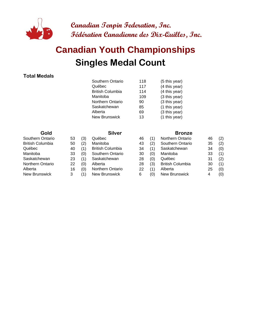

### **Singles Medal Count Canadian Youth Championships**

#### **Total Medals**

| Southern Ontario        | 118 | (5 this year) |
|-------------------------|-----|---------------|
| Québec                  | 117 | (4 this year) |
| <b>British Columbia</b> | 114 | (4 this year) |
| Manitoba                | 109 | (3 this year) |
| <b>Northern Ontario</b> | 90  | (3 this year) |
| Saskatchewan            | 85  | (1 this year) |
| Alberta                 | 69  | (3 this year) |
| <b>New Brunswick</b>    | 13  | (1 this year) |
|                         |     |               |

| Southern Ontario        | 53 | (3) | Québec                  | 4 |
|-------------------------|----|-----|-------------------------|---|
| <b>British Columbia</b> | 50 | (2) | Manitoba                | 4 |
| Québec                  | 40 | (1) | <b>British Columbia</b> | 3 |
| Manitoba                | 33 | (0) | Southern Ontario        | 3 |
| Saskatchewan            | 23 | (1) | Saskatchewan            | 2 |
| Northern Ontario        | 22 | (0) | Alberta                 | 2 |
| Alberta                 | 16 | (0) | Northern Ontario        | 2 |
| New Brunswick           | 3  | (1) | New Brunswick           | 6 |
|                         |    |     |                         |   |

#### **Gold Silver Bronze**

| Southern Ontario     | 53 | (3)           | Québec                  | 46 |     | Northern Ontario        | 46 | (2) |
|----------------------|----|---------------|-------------------------|----|-----|-------------------------|----|-----|
| British Columbia     | 50 | (2)           | Manitoba                | 43 | (2) | Southern Ontario        | 35 | (2) |
| Québec               | 40 | (1)           | <b>British Columbia</b> | 34 | (1) | Saskatchewan            | 34 | (0) |
| Manitoba             | 33 | (0)           | Southern Ontario        | 30 | (0) | Manitoba                | 33 | (1) |
| Saskatchewan         | 23 | (1)           | Saskatchewan            | 28 | (0) | Québec                  | 31 | (2) |
| Northern Ontario     | 22 | (0)           | Alberta                 | 28 | (3) | <b>British Columbia</b> | 30 | (1) |
| Alberta              | 16 | (0)           | <b>Northern Ontario</b> | 22 | (1) | Alberta                 | 25 | (0) |
| <b>New Brunswick</b> |    | $^{\prime}$ 1 | New Brunswick           | 6  | (0) | New Brunswick           |    | (0) |
|                      |    |               |                         |    |     |                         |    |     |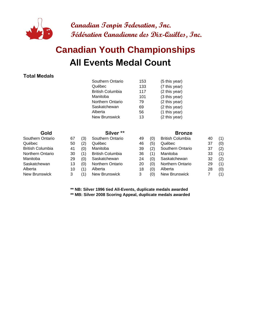

## **All Events Medal Count Canadian Youth Championships**

#### **Total Medals**

|                  |    |     | Southern Ontario        | 153 |     | (5 this year)           |    |     |
|------------------|----|-----|-------------------------|-----|-----|-------------------------|----|-----|
|                  |    |     | Québec                  | 133 |     | (7 this year)           |    |     |
|                  |    |     | <b>British Columbia</b> | 117 |     | (2 this year)           |    |     |
|                  |    |     | Manitoba                | 101 |     | (3 this year)           |    |     |
|                  |    |     | Northern Ontario        | 79  |     | (2 this year)           |    |     |
|                  |    |     | Saskatchewan            | 69  |     | (2 this year)           |    |     |
|                  |    |     | Alberta                 | 56  |     | (1 this year)           |    |     |
|                  |    |     | <b>New Brunswick</b>    | 13  |     | (2 this year)           |    |     |
| Gold             |    |     | Silver <sup>**</sup>    |     |     | <b>Bronze</b>           |    |     |
| Southern Ontario | 67 | (3) | Southern Ontario        | 49  | (0) | <b>British Columbia</b> | 40 | (1) |
| Québec           | 50 | (2) | Québec                  | 46  | (5) | Québec                  | 37 | (0) |
| British Columbia | 41 | (0) | Manitoba                | 39  | (2) | Southern Ontario        | 37 | (2) |
| Northern Ontario | 30 | (1) | <b>British Columbia</b> | 36  | (1) | Manitoba                | 33 | (1) |
| Manitoba         | 29 | (0) | Saskatchewan            | 24  | (0) | Saskatchewan            | 32 | (2) |
| Saskatchewan     | 13 | (0) | <b>Northern Ontario</b> | 20  | (0) | Northern Ontario        | 29 | (1) |
| Alberta          | 10 | (1) | Alberta                 | 18  | (0) | Alberta                 | 28 | (0) |
| New Brunswick    | 3  | (1) | New Brunswick           | 3   | (0) | New Brunswick           | 7  | (1) |

**\*\* NB: Silver 1996 tied All-Events, duplicate medals awarded**

**\*\* MB: Silver 2008 Scoring Appeal, duplicate medals awarded**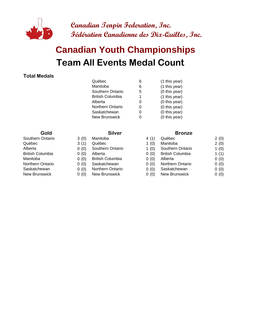

## **Team All Events Medal Count Canadian Youth Championships**

#### **Total Medals**

| Québec                  | 6 | (1 this year) |
|-------------------------|---|---------------|
| Manitoba                | 6 | (1 this year) |
| Southern Ontario        | 5 | (0 this year) |
| <b>British Columbia</b> |   | (1 this year) |
| Alberta                 | O | (0 this year) |
| Northern Ontario        | 0 | (0 this year) |
| Saskatchewan            |   | (0 this year) |
| <b>New Brunswick</b>    |   | (0 this year) |
|                         |   |               |

- 
- 
- 
- 
- 
- 
- New Brunswick 0 (0) New Brunswick

#### **Gold Silver Bronze**

| Québec<br>3(1)<br>1 $(0)$<br>Manitoba<br>Québec                               | 2(0)    |
|-------------------------------------------------------------------------------|---------|
| Alberta<br>Southern Ontario<br>1 $(0)$<br>Southern Ontario<br>0(0)            | 1(0)    |
| <b>British Columbia</b><br><b>British Columbia</b><br>0(0)<br>0(0)<br>Alberta | 1 $(1)$ |
| Manitoba<br>0(0)<br><b>British Columbia</b><br>0(0)<br>Alberta                | 0(0)    |
| Northern Ontario<br>0(0)<br>Saskatchewan<br>0(0)<br><b>Northern Ontario</b>   | 0(0)    |
| Saskatchewan<br>Northern Ontario<br>Saskatchewan<br>0(0)<br>0(0)              | 0(0)    |
| New Brunswick<br>New Brunswick<br>New Brunswick<br>0(0)<br>0(0)               | 0(0)    |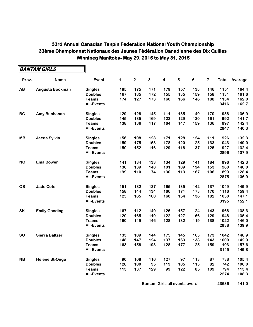$\blacksquare$ 

|           | BANTAM GIRLS          |                   |     |             |     |                         |     |     |                         |      |                      |
|-----------|-----------------------|-------------------|-----|-------------|-----|-------------------------|-----|-----|-------------------------|------|----------------------|
| Prov.     | <b>Name</b>           | Event             | 1   | $\mathbf 2$ | 3   | $\overline{\mathbf{4}}$ | 5   | 6   | $\overline{\mathbf{7}}$ |      | <b>Total Average</b> |
| AB        | Augusta Bockman       | <b>Singles</b>    | 185 | 175         | 171 | 179                     | 157 | 138 | 146                     | 1151 | 164.4                |
|           |                       | <b>Doubles</b>    | 167 | 185         | 172 | 155                     | 135 | 159 | 158                     | 1131 | 161.6                |
|           |                       | <b>Teams</b>      | 174 | 127         | 173 | 160                     | 166 | 146 | 188                     | 1134 | 162.0                |
|           |                       | <b>All-Events</b> |     |             |     |                         |     |     |                         | 3416 | 162.7                |
| <b>BC</b> | Amy Buchanan          | <b>Singles</b>    | 129 | 128         | 145 | 111                     | 135 | 140 | 170                     | 958  | 136.9                |
|           |                       | <b>Doubles</b>    | 145 | 135         | 169 | 123                     | 129 | 130 | 161                     | 992  | 141.7                |
|           |                       | <b>Teams</b>      | 138 | 136         | 117 | 164                     | 147 | 159 | 136                     | 997  | 142.4                |
|           |                       | <b>All-Events</b> |     |             |     |                         |     |     |                         | 2947 | 140.3                |
| <b>MB</b> | Jaeda Sylvia          | <b>Singles</b>    | 156 | 108         | 128 | 171                     | 128 | 124 | 111                     | 926  | 132.3                |
|           |                       | <b>Doubles</b>    | 159 | 175         | 153 | 178                     | 120 | 125 | 133                     | 1043 | 149.0                |
|           |                       | <b>Teams</b>      | 150 | 152         | 116 | 129                     | 118 | 137 | 125                     | 927  | 132.4                |
|           |                       | <b>All-Events</b> |     |             |     |                         |     |     |                         | 2896 | 137.9                |
| <b>NO</b> | <b>Ema Bowen</b>      | <b>Singles</b>    | 141 | 134         | 133 | 134                     | 129 | 141 | 184                     | 996  | 142.3                |
|           |                       | <b>Doubles</b>    | 136 | 139         | 148 | 101                     | 109 | 194 | 153                     | 980  | 140.0                |
|           |                       | <b>Teams</b>      | 199 | 110         | 74  | 130                     | 113 | 167 | 106                     | 899  | 128.4                |
|           |                       | <b>All-Events</b> |     |             |     |                         |     |     |                         | 2875 | 136.9                |
| QB        | <b>Jade Cote</b>      | <b>Singles</b>    | 151 | 182         | 137 | 165                     | 135 | 142 | 137                     | 1049 | 149.9                |
|           |                       | <b>Doubles</b>    | 158 | 144         | 134 | 166                     | 171 | 173 | 170                     | 1116 | 159.4                |
|           |                       | <b>Teams</b>      | 125 | 165         | 100 | 168                     | 154 | 136 | 182                     | 1030 | 147.1                |
|           |                       | <b>All-Events</b> |     |             |     |                         |     |     |                         | 3195 | 152.1                |
| <b>SK</b> | <b>Emily Gooding</b>  | <b>Singles</b>    | 167 | 112         | 140 | 125                     | 157 | 124 | 143                     | 968  | 138.3                |
|           |                       | <b>Doubles</b>    | 120 | 165         | 119 | 122                     | 127 | 166 | 129                     | 948  | 135.4                |
|           |                       | <b>Teams</b>      | 160 | 149         | 146 | 128                     | 182 | 119 | 138                     | 1022 | 146.0                |
|           |                       | <b>All-Events</b> |     |             |     |                         |     |     |                         | 2938 | 139.9                |
| <b>SO</b> | <b>Sierra Baltzer</b> | <b>Singles</b>    | 133 | 109         | 144 | 175                     | 145 | 163 | 173                     | 1042 | 148.9                |
|           |                       | <b>Doubles</b>    | 148 | 147         | 124 | 137                     | 163 | 138 | 143                     | 1000 | 142.9                |
|           |                       | <b>Teams</b>      | 163 | 158         | 193 | 128                     | 177 | 125 | 159                     | 1103 | 157.6                |
|           |                       | <b>All-Events</b> |     |             |     |                         |     |     |                         | 3145 | 149.8                |
| <b>NB</b> | <b>Helene St-Onge</b> | <b>Singles</b>    | 90  | 108         | 116 | 127                     | 97  | 113 | 87                      | 738  | 105.4                |
|           |                       | <b>Doubles</b>    | 128 | 100         | 95  | 119                     | 105 | 113 | 82                      | 742  | 106.0                |
|           |                       | <b>Teams</b>      | 113 | 137         | 129 | 99                      | 122 | 85  | 109                     | 794  | 113.4                |
|           |                       | <b>All-Events</b> |     |             |     |                         |     |     |                         | 2274 | 108.3                |

**Bantam Girls all events overall <b>168886** 141.0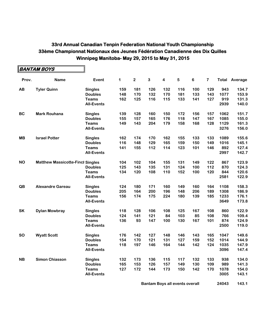|           | ∥ <i>BANTAM BOYS</i>                    |                   |     |         |              |                         |     |         |     |      |                      |
|-----------|-----------------------------------------|-------------------|-----|---------|--------------|-------------------------|-----|---------|-----|------|----------------------|
| Prov.     | <b>Name</b>                             | Event             | 1   | $\bf 2$ | $\mathbf{3}$ | $\overline{\mathbf{4}}$ | 5   | $\bf 6$ | 7   |      | <b>Total Average</b> |
| AB        | <b>Tyler Quinn</b>                      | <b>Singles</b>    | 159 | 181     | 126          | 132                     | 116 | 100     | 129 | 943  | 134.7                |
|           |                                         | <b>Doubles</b>    | 148 | 170     | 132          | 170                     | 181 | 133     | 143 | 1077 | 153.9                |
|           |                                         | <b>Teams</b>      | 162 | 125     | 116          | 115                     | 133 | 141     | 127 | 919  | 131.3                |
|           |                                         | <b>All-Events</b> |     |         |              |                         |     |         |     | 2939 | 140.0                |
| <b>BC</b> | <b>Mark Rouhana</b>                     | <b>Singles</b>    | 139 | 128     | 160          | 150                     | 172 | 156     | 157 | 1062 | 151.7                |
|           |                                         | <b>Doubles</b>    | 155 | 157     | 165          | 176                     | 118 | 147     | 167 | 1085 | 155.0                |
|           |                                         | <b>Teams</b>      | 149 | 143     | 204          | 179                     | 158 | 168     | 128 | 1129 | 161.3                |
|           |                                         | <b>All-Events</b> |     |         |              |                         |     |         |     | 3276 | 156.0                |
| <b>MB</b> | <b>Israel Potter</b>                    | <b>Singles</b>    | 162 | 174     | 170          | 162                     | 155 | 133     | 133 | 1089 | 155.6                |
|           |                                         | <b>Doubles</b>    | 116 | 148     | 129          | 165                     | 159 | 150     | 149 | 1016 | 145.1                |
|           |                                         | <b>Teams</b>      | 141 | 155     | 112          | 114                     | 123 | 101     | 146 | 892  | 127.4                |
|           |                                         | <b>All-Events</b> |     |         |              |                         |     |         |     | 2997 | 142.7                |
| <b>NO</b> | <b>Matthew Massicotte-Fincl Singles</b> |                   | 104 | 102     | 104          | 155                     | 131 | 149     | 122 | 867  | 123.9                |
|           |                                         | <b>Doubles</b>    | 125 | 143     | 135          | 131                     | 124 | 100     | 112 | 870  | 124.3                |
|           |                                         | <b>Teams</b>      | 134 | 120     | 108          | 110                     | 152 | 100     | 120 | 844  | 120.6                |
|           |                                         | <b>All-Events</b> |     |         |              |                         |     |         |     | 2581 | 122.9                |
| QB        | <b>Alexandre Gareau</b>                 | <b>Singles</b>    | 124 | 180     | 171          | 160                     | 149 | 160     | 164 | 1108 | 158.3                |
|           |                                         | <b>Doubles</b>    | 205 | 164     | 200          | 196                     | 148 | 206     | 189 | 1308 | 186.9                |
|           |                                         | <b>Teams</b>      | 156 | 174     | 175          | 224                     | 180 | 139     | 185 | 1233 | 176.1                |
|           |                                         | <b>All-Events</b> |     |         |              |                         |     |         |     | 3649 | 173.8                |
| SK        | <b>Dylan Mowbray</b>                    | <b>Singles</b>    | 118 | 128     | 106          | 108                     | 125 | 167     | 108 | 860  | 122.9                |
|           |                                         | <b>Doubles</b>    | 124 | 141     | 121          | 84                      | 103 | 85      | 108 | 766  | 109.4                |
|           |                                         | <b>Teams</b>      | 136 | 93      | 147          | 100                     | 130 | 167     | 101 | 874  | 124.9                |
|           |                                         | <b>All-Events</b> |     |         |              |                         |     |         |     | 2500 | 119.0                |
| <b>SO</b> | <b>Wyatt Scott</b>                      | <b>Singles</b>    | 176 | 142     | 127          | 148                     | 146 | 143     | 165 | 1047 | 149.6                |
|           |                                         | <b>Doubles</b>    | 154 | 170     | 121          | 131                     | 127 | 159     | 152 | 1014 | 144.9                |
|           |                                         | <b>Teams</b>      | 118 | 197     | 146          | 164                     | 144 | 142     | 124 | 1035 | 147.9                |
|           |                                         | <b>All-Events</b> |     |         |              |                         |     |         |     | 3096 | 147.4                |
| <b>NB</b> | <b>Simon Chiasson</b>                   | <b>Singles</b>    | 132 | 173     | 136          | 115                     | 117 | 132     | 133 | 938  | 134.0                |
|           |                                         | <b>Doubles</b>    | 165 | 153     | 126          | 157                     | 149 | 130     | 109 | 989  | 141.3                |
|           |                                         | <b>Teams</b>      | 127 | 172     | 144          | 173                     | 150 | 142     | 170 | 1078 | 154.0                |
|           |                                         | <b>All-Events</b> |     |         |              |                         |     |         |     | 3005 | 143.1                |
|           |                                         |                   |     |         |              |                         |     |         |     |      |                      |

**Bantam Boys all events overall <b>143.1 143.1**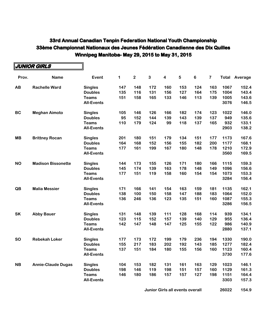|           | JUNIOR GIRLS              |                   |     |                         |     |                         |     |         |                         |       |         |
|-----------|---------------------------|-------------------|-----|-------------------------|-----|-------------------------|-----|---------|-------------------------|-------|---------|
| Prov.     | <b>Name</b>               | Event             | 1   | $\overline{\mathbf{2}}$ | 3   | $\overline{\mathbf{4}}$ | 5   | $\bf 6$ | $\overline{\mathbf{7}}$ | Total | Average |
| AB        | <b>Rachelle Ward</b>      | <b>Singles</b>    | 147 | 148                     | 172 | 160                     | 153 | 124     | 163                     | 1067  | 152.4   |
|           |                           | <b>Doubles</b>    | 135 | 116                     | 131 | 156                     | 127 | 164     | 175                     | 1004  | 143.4   |
|           |                           | <b>Teams</b>      | 151 | 158                     | 165 | 133                     | 146 | 113     | 139                     | 1005  | 143.6   |
|           |                           | <b>All-Events</b> |     |                         |     |                         |     |         |                         | 3076  | 146.5   |
| <b>BC</b> | <b>Meghan Aimoto</b>      | <b>Singles</b>    | 105 | 146                     | 126 | 166                     | 182 | 174     | 123                     | 1022  | 146.0   |
|           |                           | <b>Doubles</b>    | 95  | 152                     | 144 | 139                     | 143 | 139     | 137                     | 949   | 135.6   |
|           |                           | <b>Teams</b>      | 110 | 179                     | 124 | 99                      | 118 | 137     | 165                     | 932   | 133.1   |
|           |                           | <b>All-Events</b> |     |                         |     |                         |     |         |                         | 2903  | 138.2   |
| <b>MB</b> | <b>Brittney Rocan</b>     | <b>Singles</b>    | 201 | 180                     | 151 | 179                     | 134 | 151     | 177                     | 1173  | 167.6   |
|           |                           | <b>Doubles</b>    | 164 | 168                     | 152 | 156                     | 155 | 182     | 200                     | 1177  | 168.1   |
|           |                           | <b>Teams</b>      | 177 | 161                     | 199 | 167                     | 180 | 148     | 178                     | 1210  | 172.9   |
|           |                           | <b>All-Events</b> |     |                         |     |                         |     |         |                         | 3560  | 169.5   |
| <b>NO</b> | <b>Madison Bissonette</b> | <b>Singles</b>    | 144 | 173                     | 155 | 126                     | 171 | 180     | 166                     | 1115  | 159.3   |
|           |                           | <b>Doubles</b>    | 145 | 174                     | 139 | 163                     | 178 | 148     | 149                     | 1096  | 156.6   |
|           |                           | <b>Teams</b>      | 177 | 151                     | 119 | 158                     | 160 | 154     | 154                     | 1073  | 153.3   |
|           |                           | <b>All-Events</b> |     |                         |     |                         |     |         |                         | 3284  | 156.4   |
| QB        | <b>Malia Messier</b>      | <b>Singles</b>    | 171 | 166                     | 141 | 154                     | 163 | 159     | 181                     | 1135  | 162.1   |
|           |                           | <b>Doubles</b>    | 138 | 100                     | 150 | 158                     | 147 | 188     | 183                     | 1064  | 152.0   |
|           |                           | <b>Teams</b>      | 136 | 246                     | 136 | 123                     | 135 | 151     | 160                     | 1087  | 155.3   |
|           |                           | <b>All-Events</b> |     |                         |     |                         |     |         |                         | 3286  | 156.5   |
| <b>SK</b> | <b>Abby Bauer</b>         | <b>Singles</b>    | 131 | 148                     | 139 | 111                     | 128 | 168     | 114                     | 939   | 134.1   |
|           |                           | <b>Doubles</b>    | 123 | 115                     | 152 | 157                     | 139 | 140     | 129                     | 955   | 136.4   |
|           |                           | <b>Teams</b>      | 142 | 147                     | 148 | 147                     | 125 | 155     | 122                     | 986   | 140.9   |
|           |                           | <b>All-Events</b> |     |                         |     |                         |     |         |                         | 2880  | 137.1   |
| <b>SO</b> | <b>Rebekah Loker</b>      | <b>Singles</b>    | 177 | 173                     | 172 | 199                     | 179 | 236     | 194                     | 1330  | 190.0   |
|           |                           | <b>Doubles</b>    | 155 | 217                     | 183 | 202                     | 192 | 143     | 185                     | 1277  | 182.4   |
|           |                           | Teams             | 137 | 151                     | 184 | 180                     | 155 | 156     | 160                     | 1123  | 160.4   |
|           |                           | <b>All-Events</b> |     |                         |     |                         |     |         |                         | 3730  | 177.6   |
| <b>NB</b> | <b>Annie-Claude Dugas</b> | <b>Singles</b>    | 104 | 153                     | 182 | 131                     | 161 | 163     | 129                     | 1023  | 146.1   |
|           |                           | <b>Doubles</b>    | 198 | 146                     | 119 | 198                     | 151 | 157     | 160                     | 1129  | 161.3   |
|           |                           | <b>Teams</b>      | 146 | 180                     | 186 | 157                     | 157 | 127     | 198                     | 1151  | 164.4   |
|           |                           | <b>All-Events</b> |     |                         |     |                         |     |         |                         | 3303  | 157.3   |

**Junior Girls all events overall 168 26022 154.9**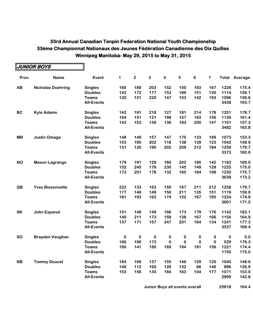|           | <b>JUNIOR BOYS</b>       |                   |     |              |              |                         |            |          |          |          |         |
|-----------|--------------------------|-------------------|-----|--------------|--------------|-------------------------|------------|----------|----------|----------|---------|
| Prov.     | <b>Name</b>              | Event             | 1   | $\mathbf{2}$ | $\mathbf{3}$ | $\overline{\mathbf{4}}$ | $\sqrt{5}$ | 6        | 7        | Total    | Average |
| AB        | <b>Nicholas Doehring</b> | <b>Singles</b>    | 185 | 188          | 203          | 152                     | 150        | 183      | 167      | 1228     | 175.4   |
|           |                          | <b>Doubles</b>    | 142 | 172          | 177          | 153                     | 189        | 151      | 130      | 1114     | 159.1   |
|           |                          | <b>Teams</b>      | 120 | 121          | 220          | 147                     | 153        | 142      | 193      | 1096     | 156.6   |
|           |                          | <b>All-Events</b> |     |              |              |                         |            |          |          | 3438     | 163.7   |
| <b>BC</b> | <b>Kyle Adams</b>        | <b>Singles</b>    | 142 | 191          | 218          | 127                     | 181        | 214      | 178      | 1251     | 178.7   |
|           |                          | <b>Doubles</b>    | 164 | 151          | 121          | 198                     | 157        | 183      | 156      | 1130     | 161.4   |
|           |                          | <b>Teams</b>      | 143 | 153          | 139          | 136                     | 183        | 200      | 147      | 1101     | 157.3   |
|           |                          | <b>All-Events</b> |     |              |              |                         |            |          |          | 3482     | 165.8   |
| <b>MB</b> | <b>Justin Omaga</b>      | <b>Singles</b>    | 148 | 149          | 157          | 147                     | 170        | 133      | 169      | 1073     | 153.3   |
|           |                          | <b>Doubles</b>    | 153 | 180          | 202          | 118                     | 138        | 128      | 123      | 1042     | 148.9   |
|           |                          | <b>Teams</b>      | 131 | 130          | 190          | 202                     | 209        | 212      | 184      | 1258     | 179.7   |
|           |                          | <b>All-Events</b> |     |              |              |                         |            |          |          | 3373     | 160.6   |
| <b>NO</b> | <b>Mason Lagrange</b>    | <b>Singles</b>    | 179 | 191          | 129          | 160                     | 202        | 180      | 142      | 1183     | 169.0   |
|           |                          | <b>Doubles</b>    | 152 | 245          | 176          | 230                     | 145        | 149      | 128      | 1225     | 175.0   |
|           |                          | <b>Teams</b>      | 172 | 201          | 178          | 132                     | 165        | 184      | 198      | 1230     | 175.7   |
|           |                          | <b>All-Events</b> |     |              |              |                         |            |          |          | 3638     | 173.2   |
| QB        | <b>Yves Bissonnette</b>  | <b>Singles</b>    | 222 | 133          | 163          | 150                     | 167        | 211      | 212      | 1258     | 179.7   |
|           |                          | <b>Doubles</b>    | 177 | 146          | 149          | 150                     | 211        | 135      | 151      | 1119     | 159.9   |
|           |                          | <b>Teams</b>      | 181 | 193          | 162          | 174                     | 152        | 167      | 195      | 1224     | 174.9   |
|           |                          | <b>All-Events</b> |     |              |              |                         |            |          |          | 3601     | 171.5   |
| <b>SK</b> | John Espanol             | <b>Singles</b>    | 151 | 148          | 149          | 166                     | 173        | 179      | 176      | 1142     | 163.1   |
|           |                          | <b>Doubles</b>    | 140 | 211          | 173          | 159                     | 138        | 167      | 166      | 1154     | 164.9   |
|           |                          | <b>Teams</b>      | 137 | 171          | 157          | 247                     | 201        | 194      | 134      | 1241     | 177.3   |
|           |                          | <b>All-Events</b> |     |              |              |                         |            |          |          | 3537     | 168.4   |
| <b>SO</b> | <b>Brayden Vaughan</b>   | <b>Singles</b>    | 0   | 0            | 0            | $\bf{0}$                | 0          | $\bf{0}$ | $\bf{0}$ | $\bf{0}$ | 0.0     |
|           |                          | <b>Doubles</b>    | 166 | 190          | 173          | 0                       | 0          | 0        | 0        | 529      | 176.3   |
|           |                          | <b>Teams</b>      | 190 | 141          | 190          | 169                     | 194        | 181      | 156      | 1221     | 174.4   |
|           |                          | <b>All-Events</b> |     |              |              |                         |            |          |          | 1750     | 175.0   |
| <b>NB</b> | <b>Tommy Doucet</b>      | <b>Singles</b>    | 184 | 169          | 137          | 155                     | 146        | 129      | 120      | 1040     | 148.6   |
|           |                          | <b>Doubles</b>    | 146 | 112          | 160          | 126                     | 132        | 66       | 146      | 888      | 126.9   |
|           |                          | <b>Teams</b>      | 153 | 156          | 134          | 184                     | 163        | 104      | 177      | 1071     | 153.0   |
|           |                          | <b>All-Events</b> |     |              |              |                         |            |          |          | 2999     | 142.8   |

**Junior Boys all events overall 157 25818 164.4**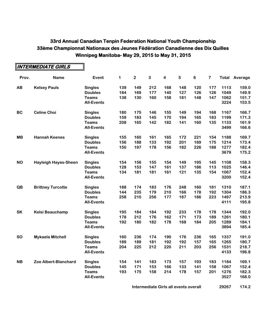|           | <b>INTERMEDIATE GIRLS</b>   |                   |     |                |     |                         |     |                |                         |      |                      |
|-----------|-----------------------------|-------------------|-----|----------------|-----|-------------------------|-----|----------------|-------------------------|------|----------------------|
| Prov.     | <b>Name</b>                 | Event             | 1   | $\overline{2}$ | 3   | $\overline{\mathbf{4}}$ | 5   | $6\phantom{1}$ | $\overline{\mathbf{7}}$ |      | <b>Total Average</b> |
| AB        | <b>Kelsey Pauls</b>         | <b>Singles</b>    | 139 | 149            | 212 | 168                     | 148 | 120            | 177                     | 1113 | 159.0                |
|           |                             | <b>Doubles</b>    | 184 | 169            | 177 | 140                     | 127 | 126            | 126                     | 1049 | 149.9                |
|           |                             | <b>Teams</b>      | 138 | 130            | 160 | 158                     | 181 | 148            | 147                     | 1062 | 151.7                |
|           |                             | <b>All-Events</b> |     |                |     |                         |     |                |                         | 3224 | 153.5                |
| <b>BC</b> | <b>Celine Choi</b>          | <b>Singles</b>    | 180 | 175            | 146 | 155                     | 149 | 194            | 168                     | 1167 | 166.7                |
|           |                             | <b>Doubles</b>    | 159 | 183            | 145 | 170                     | 194 | 165            | 183                     | 1199 | 171.3                |
|           |                             | <b>Teams</b>      | 208 | 165            | 142 | 182                     | 141 | 160            | 135                     | 1133 | 161.9                |
|           |                             | <b>All-Events</b> |     |                |     |                         |     |                |                         | 3499 | 166.6                |
| <b>MB</b> | <b>Hannah Keenes</b>        | <b>Singles</b>    | 155 | 160            | 161 | 165                     | 172 | 221            | 154                     | 1188 | 169.7                |
|           |                             | <b>Doubles</b>    | 156 | 188            | 133 | 192                     | 201 | 169            | 175                     | 1214 | 173.4                |
|           |                             | <b>Teams</b>      | 150 | 197            | 178 | 156                     | 182 | 226            | 188                     | 1277 | 182.4                |
|           |                             | <b>All-Events</b> |     |                |     |                         |     |                |                         | 3679 | 175.2                |
| <b>NO</b> | <b>Hayleigh Hayes-Sheen</b> | <b>Singles</b>    | 154 | 156            | 155 | 154                     | 149 | 195            | 145                     | 1108 | 158.3                |
|           |                             | <b>Doubles</b>    | 128 | 153            | 147 | 161                     | 137 | 186            | 113                     | 1025 | 146.4                |
|           |                             | <b>Teams</b>      | 134 | 181            | 181 | 161                     | 121 | 135            | 154                     | 1067 | 152.4                |
|           |                             | <b>All-Events</b> |     |                |     |                         |     |                |                         | 3200 | 152.4                |
| QB        | <b>Brittney Turcotte</b>    | <b>Singles</b>    | 188 | 174            | 183 | 176                     | 248 | 160            | 181                     | 1310 | 187.1                |
|           |                             | <b>Doubles</b>    | 144 | 235            | 179 | 210                     | 166 | 178            | 192                     | 1304 | 186.3                |
|           |                             | <b>Teams</b>      | 258 | 210            | 256 | 177                     | 187 | 186            | 223                     | 1497 | 213.9                |
|           |                             | <b>All-Events</b> |     |                |     |                         |     |                |                         | 4111 | 195.8                |
| SK        | <b>Kelsi Beauchamp</b>      | <b>Singles</b>    | 195 | 184            | 184 | 192                     | 233 | 178            | 178                     | 1344 | 192.0                |
|           |                             | <b>Doubles</b>    | 178 | 212            | 176 | 162                     | 171 | 173            | 189                     | 1261 | 180.1                |
|           |                             | <b>Teams</b>      | 192 | 180            | 182 | 178                     | 168 | 184            | 205                     | 1289 | 184.1                |
|           |                             | <b>All-Events</b> |     |                |     |                         |     |                |                         | 3894 | 185.4                |
| <b>SO</b> | <b>Mykaela Mitchell</b>     | <b>Singles</b>    | 160 | 236            | 174 | 190                     | 176 | 236            | 165                     | 1337 | 191.0                |
|           |                             | <b>Doubles</b>    | 189 | 189            | 181 | 192                     | 192 | 157            | 165                     | 1265 | 180.7                |
|           |                             | <b>Teams</b>      | 204 | 225            | 212 | 220                     | 211 | 203            | 256                     | 1531 | 218.7                |
|           |                             | <b>All-Events</b> |     |                |     |                         |     |                |                         | 4133 | 196.8                |
| <b>NB</b> | Zoe Albert-Blanchard        | <b>Singles</b>    | 154 | 141            | 183 | 173                     | 157 | 193            | 183                     | 1184 | 169.1                |
|           |                             | <b>Doubles</b>    | 145 | 171            | 153 | 166                     | 133 | 141            | 158                     | 1067 | 152.4                |
|           |                             | <b>Teams</b>      | 193 | 175            | 158 | 214                     | 178 | 157            | 201                     | 1276 | 182.3                |
|           |                             | <b>All-Events</b> |     |                |     |                         |     |                |                         | 3527 | 168.0                |

#### **Intermediate Girls all events overall <b>1688** 29267 174.2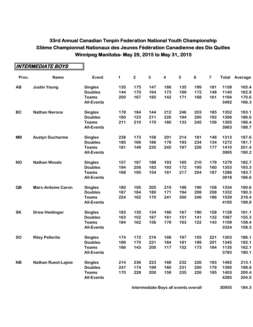$\overline{\mathbf{r}}$ 

|           | <b>INTERMEDIATE BOYS</b>   |                   |     |                         |              |                         |     |                |                         |      |                      |
|-----------|----------------------------|-------------------|-----|-------------------------|--------------|-------------------------|-----|----------------|-------------------------|------|----------------------|
| Prov.     | <b>Name</b>                | Event             | 1   | $\overline{\mathbf{c}}$ | $\mathbf{3}$ | $\overline{\mathbf{4}}$ | 5   | $6\phantom{1}$ | $\overline{\mathbf{7}}$ |      | <b>Total Average</b> |
| AB        | <b>Justin Yeung</b>        | <b>Singles</b>    | 135 | 175                     | 147          | 186                     | 135 | 199            | 181                     | 1158 | 165.4                |
|           |                            | <b>Doubles</b>    | 144 | 170                     | 164          | 173                     | 169 | 172            | 148                     | 1140 | 162.9                |
|           |                            | <b>Teams</b>      | 200 | 167                     | 185          | 142                     | 171 | 168            | 161                     | 1194 | 170.6                |
|           |                            | <b>All-Events</b> |     |                         |              |                         |     |                |                         | 3492 | 166.3                |
| <b>BC</b> | <b>Nathan Nerona</b>       | <b>Singles</b>    | 178 | 184                     | 144          | 212                     | 246 | 203            | 185                     | 1352 | 193.1                |
|           |                            | <b>Doubles</b>    | 160 | 123                     | 211          | 226                     | 194 | 200            | 192                     | 1306 | 186.6                |
|           |                            | <b>Teams</b>      | 211 | 210                     | 170          | 180                     | 133 | 245            | 156                     | 1305 | 186.4                |
|           |                            | <b>All-Events</b> |     |                         |              |                         |     |                |                         | 3963 | 188.7                |
| <b>MB</b> | <b>Austyn Ducharme</b>     | <b>Singles</b>    | 238 | 173                     | 158          | 201                     | 214 | 181            | 148                     | 1313 | 187.6                |
|           |                            | <b>Doubles</b>    | 180 | 166                     | 186          | 179                     | 193 | 234            | 134                     | 1272 | 181.7                |
|           |                            | <b>Teams</b>      | 181 | 149                     | 235          | 245                     | 197 | 226            | 177                     | 1410 | 201.4                |
|           |                            | <b>All-Events</b> |     |                         |              |                         |     |                |                         | 3995 | 190.2                |
| <b>NO</b> | <b>Nathan Woods</b>        | <b>Singles</b>    | 157 | 187                     | 188          | 193                     | 165 | 210            | 179                     | 1279 | 182.7                |
|           |                            | <b>Doubles</b>    | 194 | 256                     | 183          | 193                     | 172 | 195            | 160                     | 1353 | 193.3                |
|           |                            | <b>Teams</b>      | 168 | 195                     | 154          | 161                     | 217 | 204            | 187                     | 1286 | 183.7                |
|           |                            | <b>All-Events</b> |     |                         |              |                         |     |                |                         | 3918 | 186.6                |
| QB        | <b>Marc-Antoine Caron</b>  | <b>Singles</b>    | 180 | 195                     | 205          | 210                     | 196 | 190            | 158                     | 1334 | 190.6                |
|           |                            | <b>Doubles</b>    | 187 | 184                     | 180          | 171                     | 194 | 208            | 208                     | 1332 | 190.3                |
|           |                            | <b>Teams</b>      | 224 | 162                     | 170          | 241                     | 300 | 246            | 186                     | 1529 | 218.4                |
|           |                            | <b>All-Events</b> |     |                         |              |                         |     |                |                         | 4195 | 199.8                |
| <b>SK</b> | <b>Drew Heidinger</b>      | <b>Singles</b>    | 183 | 130                     | 134          | 166                     | 167 | 190            | 158                     | 1128 | 161.1                |
|           |                            | <b>Doubles</b>    | 163 | 152                     | 187          | 161                     | 151 | 141            | 132                     | 1087 | 155.3                |
|           |                            | <b>Teams</b>      | 184 | 162                     | 156          | 179                     | 163 | 122            | 143                     | 1109 | 158.4                |
|           |                            | <b>All-Events</b> |     |                         |              |                         |     |                |                         | 3324 | 158.3                |
| <b>SO</b> | <b>Riley Pellerito</b>     | <b>Singles</b>    | 174 | 172                     | 216          | 168                     | 197 | 155            | 221                     | 1303 | 186.1                |
|           |                            | <b>Doubles</b>    | 189 | 170                     | 221          | 184                     | 181 | 199            | 201                     | 1345 | 192.1                |
|           |                            | <b>Teams</b>      | 166 | 143                     | 200          | 117                     | 152 | 173            | 184                     | 1135 | 162.1                |
|           |                            | <b>All-Events</b> |     |                         |              |                         |     |                |                         | 3783 | 180.1                |
| <b>NB</b> | <b>Nathan Ruest-Lajoie</b> | <b>Singles</b>    | 214 | 236                     | 223          | 168                     | 232 | 226            | 193                     | 1492 | 213.1                |
|           |                            | <b>Doubles</b>    | 247 | 174                     | 199          | 160                     | 231 | 200            | 179                     | 1390 | 198.6                |
|           |                            | <b>Teams</b>      | 170 | 228                     | 200          | 159                     | 235 | 226            | 185                     | 1403 | 200.4                |
|           |                            | <b>All-Events</b> |     |                         |              |                         |     |                |                         | 4285 | 204.0                |

**Intermediate Boys all events overall 168 30955 184.3**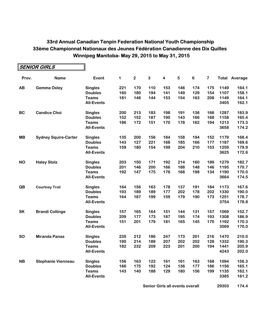|           | $\parallel$ SENIOR GIRLS    |                   |     |             |     |                         |         |         |     |      |                      |
|-----------|-----------------------------|-------------------|-----|-------------|-----|-------------------------|---------|---------|-----|------|----------------------|
| Prov.     | <b>Name</b>                 | Event             | 1   | $\mathbf 2$ | 3   | $\overline{\mathbf{4}}$ | $\bf 5$ | $\bf 6$ | 7   |      | <b>Total Average</b> |
| AB        | <b>Gemma Oxley</b>          | <b>Singles</b>    | 221 | 170         | 110 | 153                     | 146     | 174     | 175 | 1149 | 164.1                |
|           |                             | <b>Doubles</b>    | 160 | 180         | 194 | 141                     | 149     | 129     | 154 | 1107 | 158.1                |
|           |                             | <b>Teams</b>      | 181 | 146         | 144 | 153                     | 154     | 163     | 208 | 1149 | 164.1                |
|           |                             | <b>All-Events</b> |     |             |     |                         |         |         |     | 3405 | 162.1                |
| <b>BC</b> | <b>Candice Choi</b>         | <b>Singles</b>    | 200 | 213         | 183 | 198                     | 191     | 136     | 166 | 1287 | 183.9                |
|           |                             | <b>Doubles</b>    | 152 | 152         | 187 | 190                     | 143     | 166     | 168 | 1158 | 165.4                |
|           |                             | <b>Teams</b>      | 186 | 172         | 151 | 170                     | 178     | 162     | 194 | 1213 | 173.3                |
|           |                             | <b>All-Events</b> |     |             |     |                         |         |         |     | 3658 | 174.2                |
| <b>MB</b> | <b>Sydney Squire-Carter</b> | <b>Singles</b>    | 135 | 200         | 156 | 184                     | 158     | 194     | 152 | 1179 | 168.4                |
|           |                             | <b>Doubles</b>    | 143 | 127         | 221 | 168                     | 185     | 166     | 177 | 1187 | 169.6                |
|           |                             | <b>Teams</b>      | 159 | 180         | 154 | 199                     | 204     | 210     | 153 | 1259 | 179.9                |
|           |                             | <b>All-Events</b> |     |             |     |                         |         |         |     | 3625 | 172.6                |
| <b>NO</b> | <b>Haley Stolz</b>          | <b>Singles</b>    | 203 | 150         | 171 | 192                     | 214     | 160     | 189 | 1279 | 182.7                |
|           |                             | <b>Doubles</b>    | 201 | 146         | 200 | 166                     | 188     | 148     | 146 | 1195 | 170.7                |
|           |                             | <b>Teams</b>      | 192 | 147         | 175 | 176                     | 168     | 198     | 134 | 1190 | 170.0                |
|           |                             | <b>All-Events</b> |     |             |     |                         |         |         |     | 3664 | 174.5                |
| QB        | <b>Courtney Troli</b>       | <b>Singles</b>    | 164 | 156         | 163 | 178                     | 137     | 191     | 184 | 1173 | 167.6                |
|           |                             | <b>Doubles</b>    | 193 | 189         | 189 | 177                     | 202     | 178     | 202 | 1330 | 190.0                |
|           |                             | <b>Teams</b>      | 164 | 187         | 199 | 159                     | 179     | 190     | 173 | 1251 | 178.7                |
|           |                             | <b>All-Events</b> |     |             |     |                         |         |         |     | 3754 | 178.8                |
| <b>SK</b> | <b>Brandi Collinge</b>      | <b>Singles</b>    | 157 | 165         | 164 | 151                     | 144     | 131     | 157 | 1069 | 152.7                |
|           |                             | <b>Doubles</b>    | 209 | 177         | 173 | 187                     | 195     | 174     | 193 | 1308 | 186.9                |
|           |                             | <b>Teams</b>      | 151 | 201         | 179 | 181                     | 165     | 145     | 170 | 1192 | 170.3                |
|           |                             | <b>All-Events</b> |     |             |     |                         |         |         |     | 3569 | 170.0                |
| <b>SO</b> | <b>Miranda Panas</b>        | <b>Singles</b>    | 235 | 212         | 186 | 247                     | 173     | 201     | 216 | 1470 | 210.0                |
|           |                             | <b>Doubles</b>    | 190 | 214         | 189 | 207                     | 202     | 202     | 128 | 1332 | 190.3                |
|           |                             | <b>Teams</b>      | 182 | 232         | 209 | 223                     | 201     | 200     | 194 | 1441 | 205.9                |
|           |                             | <b>All-Events</b> |     |             |     |                         |         |         |     | 4243 | 202.0                |
| <b>NB</b> | <b>Stephanie Vienneau</b>   | <b>Singles</b>    | 156 | 163         | 122 | 161                     | 161     | 163     | 168 | 1094 | 156.3                |
|           |                             | <b>Doubles</b>    | 166 | 175         | 192 | 124                     | 136     | 177     | 186 | 1156 | 165.1                |
|           |                             | <b>Teams</b>      | 143 | 140         | 188 | 129                     | 180     | 156     | 199 | 1135 | 162.1                |
|           |                             | <b>All-Events</b> |     |             |     |                         |         |         |     | 3385 | 161.2                |

**Senior Girls all events overall 29303 174.4**